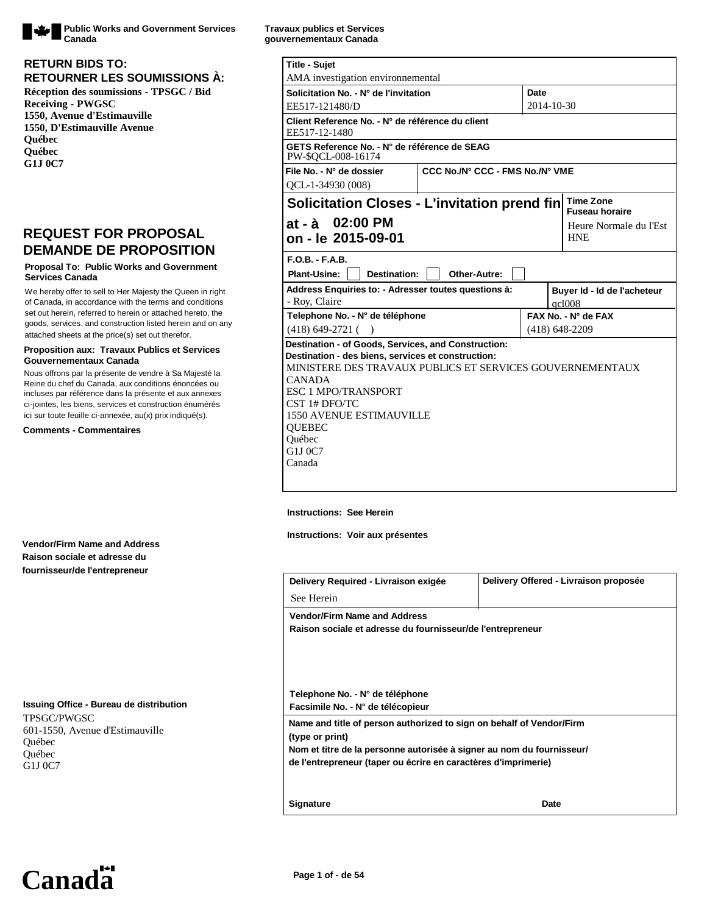

**Public Works and Government Services Canada**

## **RETOURNER LES SOUMISSIONS À: RETURN BIDS TO:**

**Réception des soumissions - TPSGC / Bid Receiving - PWGSC 1550, Avenue d'Estimauville 1550, D'Estimauville Avenue Québec Québec G1J 0C7**

# **REQUEST FOR PROPOSAL DEMANDE DE PROPOSITION**

#### **Proposal To: Public Works and Government Services Canada**

We hereby offer to sell to Her Majesty the Queen in right of Canada, in accordance with the terms and conditions set out herein, referred to herein or attached hereto, the goods, services, and construction listed herein and on any attached sheets at the price(s) set out therefor.

#### **Proposition aux: Travaux Publics et Services Gouvernementaux Canada**

Nous offrons par la présente de vendre à Sa Majesté la Reine du chef du Canada, aux conditions énoncées ou incluses par référence dans la présente et aux annexes ci-jointes, les biens, services et construction énumérés ici sur toute feuille ci-annexée, au(x) prix indiqué(s).

**Comments - Commentaires**

#### **Vendor/Firm Name and Address Raison sociale et adresse du fournisseur/de l'entrepreneur**

#### **Issuing Office - Bureau de distribution** TPSGC/PWGSC

601-1550, Avenue d'Estimauville Québec Québec G1J 0C7

| Travaux publics et Services |  |  |
|-----------------------------|--|--|
| gouvernementaux Canada      |  |  |

| <b>Title - Sujet</b>                                                                                                                                                                                                                                                                                                      |                                 |                  |                                           |
|---------------------------------------------------------------------------------------------------------------------------------------------------------------------------------------------------------------------------------------------------------------------------------------------------------------------------|---------------------------------|------------------|-------------------------------------------|
| AMA investigation environmemental                                                                                                                                                                                                                                                                                         |                                 |                  |                                           |
| Solicitation No. - N° de l'invitation                                                                                                                                                                                                                                                                                     |                                 | Date             |                                           |
| EE517-121480/D                                                                                                                                                                                                                                                                                                            |                                 | 2014-10-30       |                                           |
| Client Reference No. - N° de référence du client<br>EE517-12-1480                                                                                                                                                                                                                                                         |                                 |                  |                                           |
| GETS Reference No. - N° de référence de SEAG<br>PW-\$OCL-008-16174                                                                                                                                                                                                                                                        |                                 |                  |                                           |
| File No. - N° de dossier                                                                                                                                                                                                                                                                                                  | CCC No./N° CCC - FMS No./N° VME |                  |                                           |
| OCL-1-34930 (008)                                                                                                                                                                                                                                                                                                         |                                 |                  |                                           |
| Solicitation Closes - L'invitation prend fin                                                                                                                                                                                                                                                                              |                                 |                  | <b>Time Zone</b><br><b>Fuseau horaire</b> |
| at - à 02:00 PM<br>on - le 2015-09-01                                                                                                                                                                                                                                                                                     |                                 |                  | Heure Normale du l'Est<br><b>HNE</b>      |
| $F.O.B.-F.A.B.$                                                                                                                                                                                                                                                                                                           |                                 |                  |                                           |
| <b>Plant-Usine:</b><br>Destination:                                                                                                                                                                                                                                                                                       | Other-Autre:                    |                  |                                           |
| Address Enquiries to: - Adresser toutes questions à:                                                                                                                                                                                                                                                                      |                                 |                  | Buyer Id - Id de l'acheteur               |
| - Roy, Claire                                                                                                                                                                                                                                                                                                             |                                 |                  | ac1008                                    |
| Telephone No. - N° de téléphone                                                                                                                                                                                                                                                                                           |                                 |                  | $FAX$ No. - N° de $FAX$                   |
| $(418)$ 649-2721 ()                                                                                                                                                                                                                                                                                                       |                                 | $(418)$ 648-2209 |                                           |
| Destination - of Goods, Services, and Construction:<br>Destination - des biens, services et construction:<br>MINISTERE DES TRAVAUX PUBLICS ET SERVICES GOUVERNEMENTAUX<br><b>CANADA</b><br><b>ESC 1 MPO/TRANSPORT</b><br>CST 1# DFO/TC<br><b>1550 AVENUE ESTIMAUVILLE</b><br><b>OUEBEC</b><br>Ouébec<br>G1J 0C7<br>Canada |                                 |                  |                                           |

#### **Instructions: See Herein**

**Instructions: Voir aux présentes**

| Delivery Required - Livraison exigée                                                    | Delivery Offered - Livraison proposée |  |
|-----------------------------------------------------------------------------------------|---------------------------------------|--|
| See Herein                                                                              |                                       |  |
| <b>Vendor/Firm Name and Address</b>                                                     |                                       |  |
| Raison sociale et adresse du fournisseur/de l'entrepreneur                              |                                       |  |
|                                                                                         |                                       |  |
|                                                                                         |                                       |  |
|                                                                                         |                                       |  |
| Telephone No. - N° de téléphone                                                         |                                       |  |
| Facsimile No. - N° de télécopieur                                                       |                                       |  |
| Name and title of person authorized to sign on behalf of Vendor/Firm<br>(type or print) |                                       |  |
| Nom et titre de la personne autorisée à signer au nom du fournisseur/                   |                                       |  |
| de l'entrepreneur (taper ou écrire en caractères d'imprimerie)                          |                                       |  |
|                                                                                         |                                       |  |
| <b>Signature</b>                                                                        | Date                                  |  |

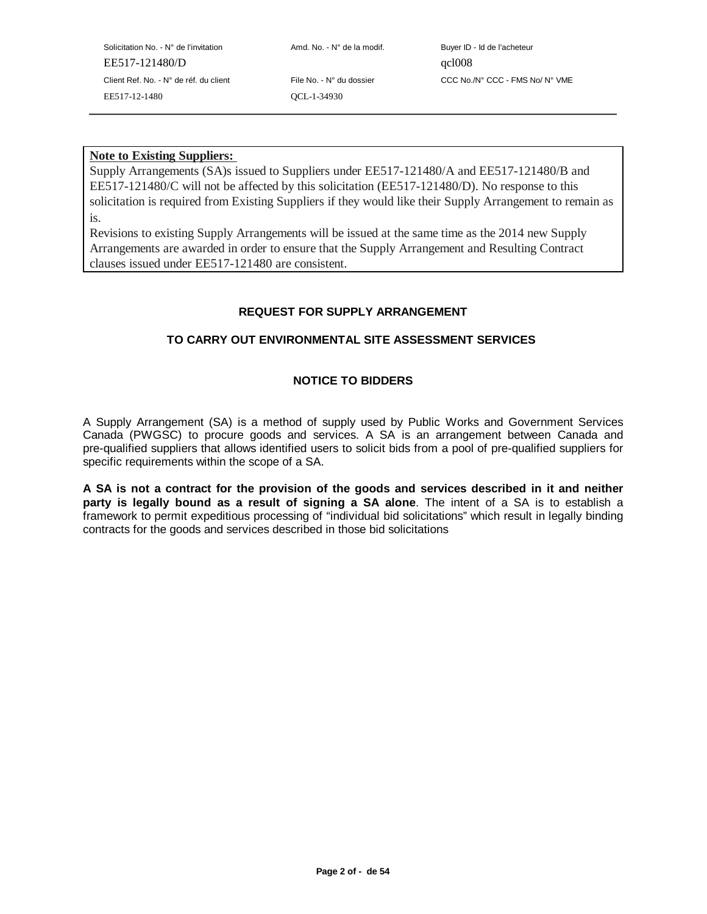Solicitation No. - N° de l'invitation Amd. No. - N° de la modif. Buyer ID - Id de l'acheteur EE517-121480/D qcl008 EE517-12-1480 QCL-1-34930

Client Ref. No. - N° de réf. du client File No. - N° du dossier CCC No./N° CCC - FMS No/ N° VME

## **Note to Existing Suppliers:**

Supply Arrangements (SA)s issued to Suppliers under EE517-121480/A and EE517-121480/B and EE517-121480/C will not be affected by this solicitation (EE517-121480/D). No response to this solicitation is required from Existing Suppliers if they would like their Supply Arrangement to remain as is.

Revisions to existing Supply Arrangements will be issued at the same time as the 2014 new Supply Arrangements are awarded in order to ensure that the Supply Arrangement and Resulting Contract clauses issued under EE517-121480 are consistent.

# **REQUEST FOR SUPPLY ARRANGEMENT**

# **TO CARRY OUT ENVIRONMENTAL SITE ASSESSMENT SERVICES**

# **NOTICE TO BIDDERS**

A Supply Arrangement (SA) is a method of supply used by Public Works and Government Services Canada (PWGSC) to procure goods and services. A SA is an arrangement between Canada and pre-qualified suppliers that allows identified users to solicit bids from a pool of pre-qualified suppliers for specific requirements within the scope of a SA.

**A SA is not a contract for the provision of the goods and services described in it and neither party is legally bound as a result of signing a SA alone**. The intent of a SA is to establish a framework to permit expeditious processing of "individual bid solicitations" which result in legally binding contracts for the goods and services described in those bid solicitations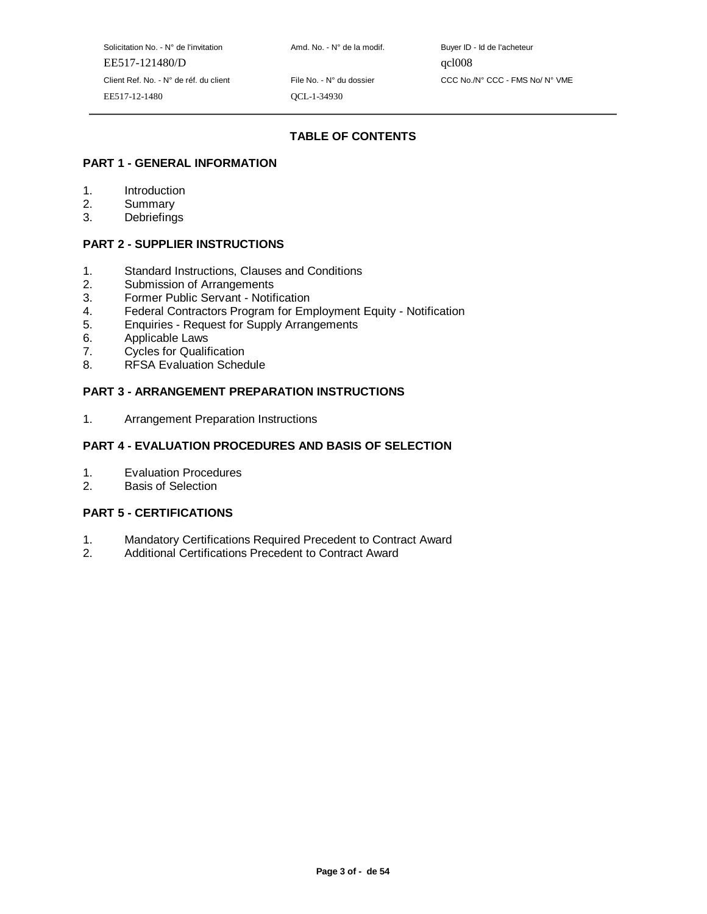Solicitation No. - N° de l'invitation Amd. No. - N° de la modif. Buyer ID - Id de l'acheteur EE517-121480/D qcl008 Client Ref. No. - N° de réf. du client File No. - N° du dossier CCC No./N° CCC - FMS No/ N° VME EE517-12-1480 QCL-1-34930

# **TABLE OF CONTENTS**

## **PART 1 - GENERAL INFORMATION**

- 1. Introduction
- 2. Summary
- 3. Debriefings

## **PART 2 - SUPPLIER INSTRUCTIONS**

- 1. Standard Instructions, Clauses and Conditions
- 2. Submission of Arrangements<br>3. Former Public Servant Notif
- 3. Former Public Servant Notification
- 4. Federal Contractors Program for Employment Equity Notification
- 5. Enquiries Request for Supply Arrangements
- 6. Applicable Laws
- 7. Cycles for Qualification
- 8. RFSA Evaluation Schedule

# **PART 3 - ARRANGEMENT PREPARATION INSTRUCTIONS**

1. Arrangement Preparation Instructions

## **PART 4 - EVALUATION PROCEDURES AND BASIS OF SELECTION**

- 1. Evaluation Procedures
- 2. Basis of Selection

#### **PART 5 - CERTIFICATIONS**

- 1. Mandatory Certifications Required Precedent to Contract Award
- 2. Additional Certifications Precedent to Contract Award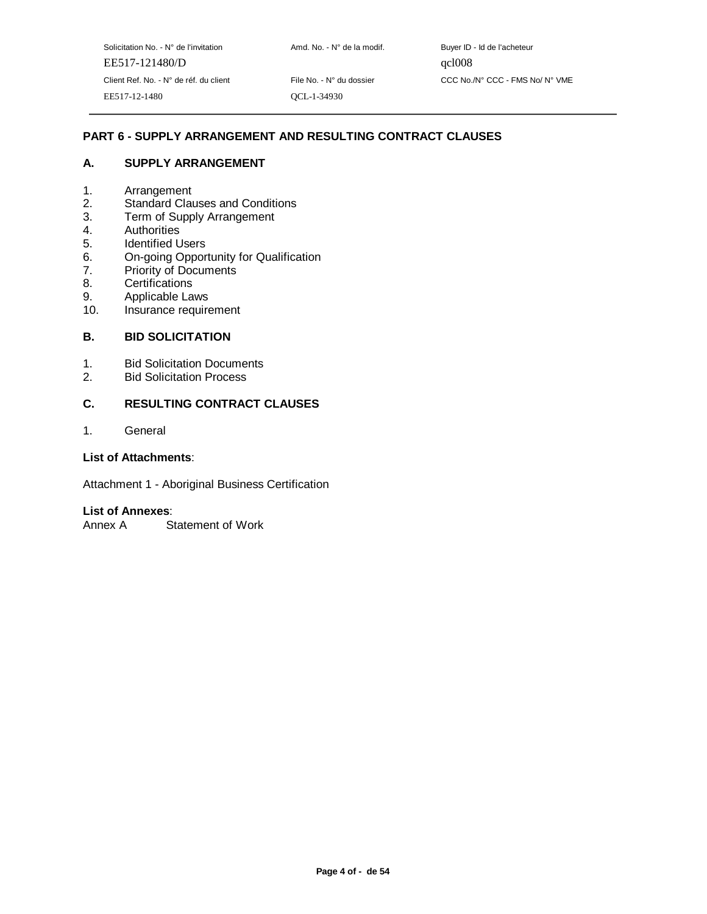Client Ref. No. - N° de réf. du client File No. - N° du dossier CCC No./N° CCC - FMS No/ N° VME

# **PART 6 - SUPPLY ARRANGEMENT AND RESULTING CONTRACT CLAUSES**

#### **A. SUPPLY ARRANGEMENT**

- 1. Arrangement
- 2. Standard Clauses and Conditions
- 3. Term of Supply Arrangement
- 4. Authorities
- 5. Identified Users
- 6. On-going Opportunity for Qualification
- 7. Priority of Documents
- 8. Certifications
- 9. Applicable Laws
- 10. Insurance requirement

## **B. BID SOLICITATION**

- 1. Bid Solicitation Documents<br>2. Bid Solicitation Process
- 2. Bid Solicitation Process

#### **C. RESULTING CONTRACT CLAUSES**

1. General

#### **List of Attachments**:

Attachment 1 - Aboriginal Business Certification

#### **List of Annexes**:

Annex A Statement of Work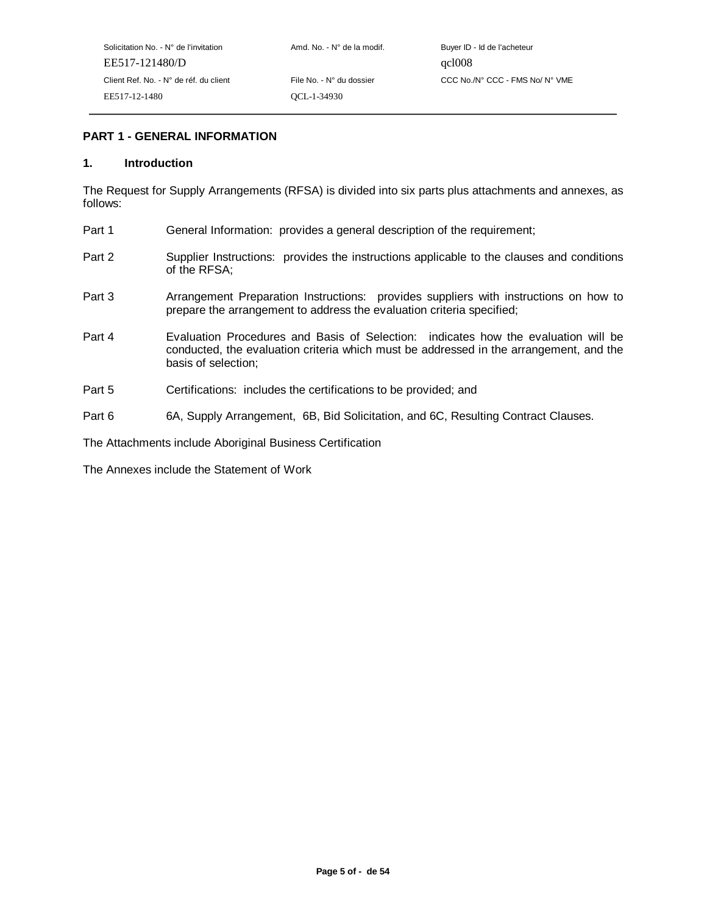## **PART 1 - GENERAL INFORMATION**

#### **1. Introduction**

The Request for Supply Arrangements (RFSA) is divided into six parts plus attachments and annexes, as follows:

- Part 1 General Information: provides a general description of the requirement;
- Part 2 Supplier Instructions: provides the instructions applicable to the clauses and conditions of the RFSA;
- Part 3 Arrangement Preparation Instructions: provides suppliers with instructions on how to prepare the arrangement to address the evaluation criteria specified;
- Part 4 Evaluation Procedures and Basis of Selection: indicates how the evaluation will be conducted, the evaluation criteria which must be addressed in the arrangement, and the basis of selection;
- Part 5 Certifications: includes the certifications to be provided; and
- Part 6 6A, Supply Arrangement, 6B, Bid Solicitation, and 6C, Resulting Contract Clauses.

The Attachments include Aboriginal Business Certification

The Annexes include the Statement of Work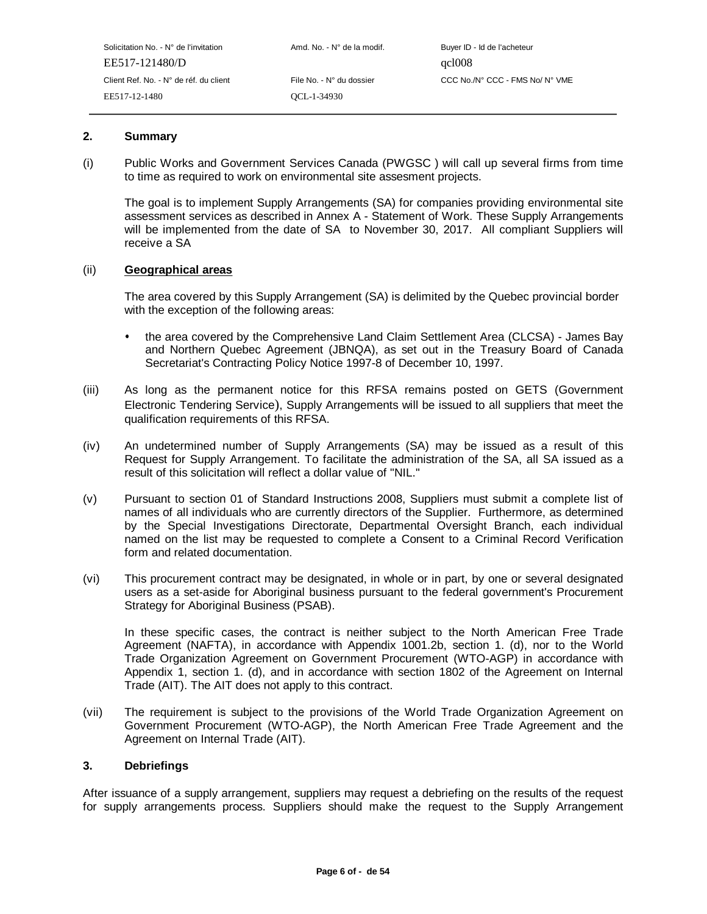| Solicitation No. - N° de l'invitation  | Amd. No. - N° de la modif. | Buyer ID - Id de l'acheteur     |
|----------------------------------------|----------------------------|---------------------------------|
| EE517-121480/D                         |                            | qcl008                          |
| Client Ref. No. - N° de réf. du client | File No. - N° du dossier   | CCC No./N° CCC - FMS No/ N° VME |
| EE517-12-1480                          | OCL-1-34930                |                                 |

## **2. Summary**

(i) Public Works and Government Services Canada (PWGSC ) will call up several firms from time to time as required to work on environmental site assesment projects.

The goal is to implement Supply Arrangements (SA) for companies providing environmental site assessment services as described in Annex A - Statement of Work. These Supply Arrangements will be implemented from the date of SA to November 30, 2017. All compliant Suppliers will receive a SA

#### (ii) **Geographical areas**

The area covered by this Supply Arrangement (SA) is delimited by the Quebec provincial border with the exception of the following areas:

- the area covered by the Comprehensive Land Claim Settlement Area (CLCSA) James Bay and Northern Quebec Agreement (JBNQA), as set out in the Treasury Board of Canada Secretariat's Contracting Policy Notice 1997-8 of December 10, 1997.
- (iii) As long as the permanent notice for this RFSA remains posted on GETS (Government Electronic Tendering Service), Supply Arrangements will be issued to all suppliers that meet the qualification requirements of this RFSA.
- (iv) An undetermined number of Supply Arrangements (SA) may be issued as a result of this Request for Supply Arrangement. To facilitate the administration of the SA, all SA issued as a result of this solicitation will reflect a dollar value of "NIL."
- (v) Pursuant to section 01 of Standard Instructions 2008, Suppliers must submit a complete list of names of all individuals who are currently directors of the Supplier. Furthermore, as determined by the Special Investigations Directorate, Departmental Oversight Branch, each individual named on the list may be requested to complete a Consent to a Criminal Record Verification form and related documentation.
- (vi) This procurement contract may be designated, in whole or in part, by one or several designated users as a set-aside for Aboriginal business pursuant to the federal government's Procurement Strategy for Aboriginal Business (PSAB).

In these specific cases, the contract is neither subject to the North American Free Trade Agreement (NAFTA), in accordance with Appendix 1001.2b, section 1. (d), nor to the World Trade Organization Agreement on Government Procurement (WTO-AGP) in accordance with Appendix 1, section 1. (d), and in accordance with section 1802 of the Agreement on Internal Trade (AIT). The AIT does not apply to this contract.

(vii) The requirement is subject to the provisions of the World Trade Organization Agreement on Government Procurement (WTO-AGP), the North American Free Trade Agreement and the Agreement on Internal Trade (AIT).

#### **3. Debriefings**

After issuance of a supply arrangement, suppliers may request a debriefing on the results of the request for supply arrangements process. Suppliers should make the request to the Supply Arrangement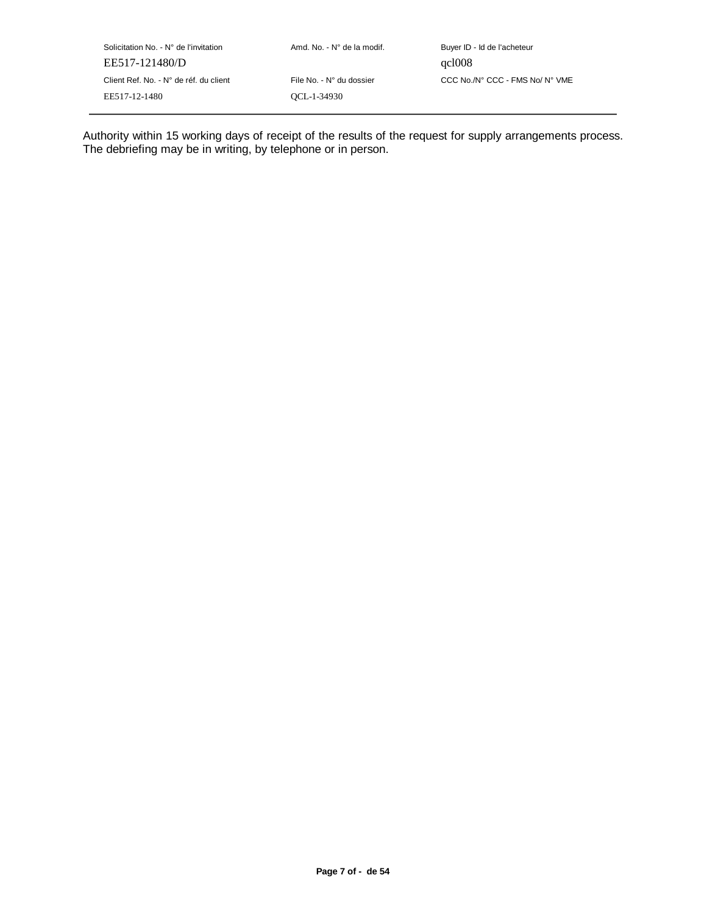Solicitation No. - N° de l'invitation  $A \cap A \cap A$  Amd. No. - N° de la modif. Buyer ID - Id de l'acheteur EE517-121480/D qcl008 EE517-12-1480 QCL-1-34930

Client Ref. No. - N° de réf. du client File No. - N° du dossier CCC No./N° CCC - FMS No/ N° VME

Authority within 15 working days of receipt of the results of the request for supply arrangements process. The debriefing may be in writing, by telephone or in person.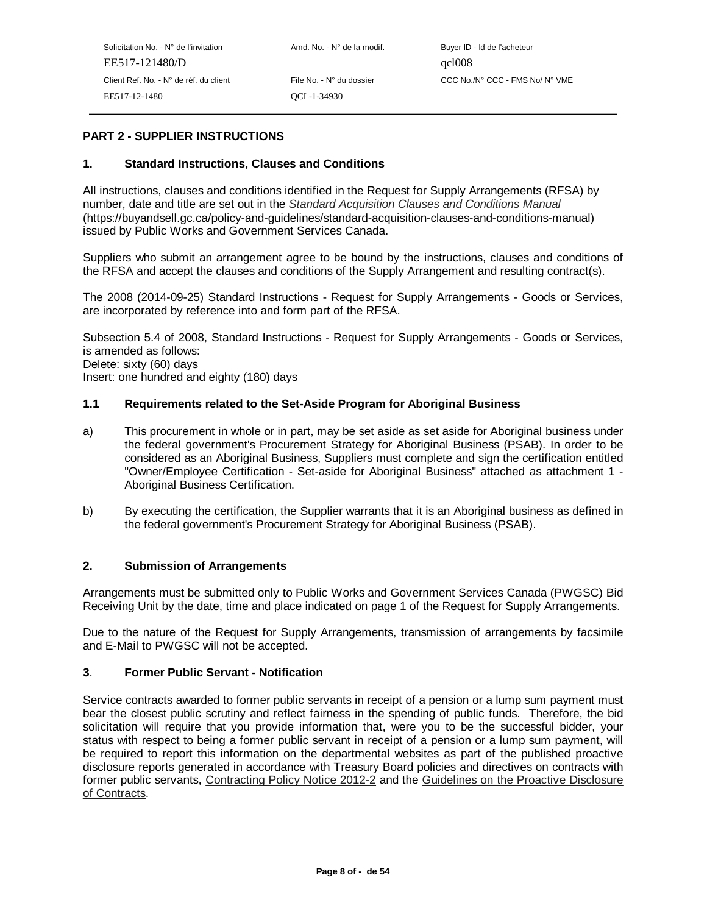# **PART 2 - SUPPLIER INSTRUCTIONS**

#### **1. Standard Instructions, Clauses and Conditions**

All instructions, clauses and conditions identified in the Request for Supply Arrangements (RFSA) by number, date and title are set out in the Standard Acquisition Clauses and Conditions Manual (https://buyandsell.gc.ca/policy-and-guidelines/standard-acquisition-clauses-and-conditions-manual) issued by Public Works and Government Services Canada.

Suppliers who submit an arrangement agree to be bound by the instructions, clauses and conditions of the RFSA and accept the clauses and conditions of the Supply Arrangement and resulting contract(s).

The 2008 (2014-09-25) Standard Instructions - Request for Supply Arrangements - Goods or Services, are incorporated by reference into and form part of the RFSA.

Subsection 5.4 of 2008, Standard Instructions - Request for Supply Arrangements - Goods or Services, is amended as follows: Delete: sixty (60) days

Insert: one hundred and eighty (180) days

#### **1.1 Requirements related to the Set-Aside Program for Aboriginal Business**

- a) This procurement in whole or in part, may be set aside as set aside for Aboriginal business under the federal government's Procurement Strategy for Aboriginal Business (PSAB). In order to be considered as an Aboriginal Business, Suppliers must complete and sign the certification entitled "Owner/Employee Certification - Set-aside for Aboriginal Business" attached as attachment 1 - Aboriginal Business Certification.
- b) By executing the certification, the Supplier warrants that it is an Aboriginal business as defined in the federal government's Procurement Strategy for Aboriginal Business (PSAB).

#### **2. Submission of Arrangements**

Arrangements must be submitted only to Public Works and Government Services Canada (PWGSC) Bid Receiving Unit by the date, time and place indicated on page 1 of the Request for Supply Arrangements.

Due to the nature of the Request for Supply Arrangements, transmission of arrangements by facsimile and E-Mail to PWGSC will not be accepted.

#### **3**. **Former Public Servant - Notification**

Service contracts awarded to former public servants in receipt of a pension or a lump sum payment must bear the closest public scrutiny and reflect fairness in the spending of public funds. Therefore, the bid solicitation will require that you provide information that, were you to be the successful bidder, your status with respect to being a former public servant in receipt of a pension or a lump sum payment, will be required to report this information on the departmental websites as part of the published proactive disclosure reports generated in accordance with Treasury Board policies and directives on contracts with former public servants, Contracting Policy Notice 2012-2 and the Guidelines on the Proactive Disclosure of Contracts.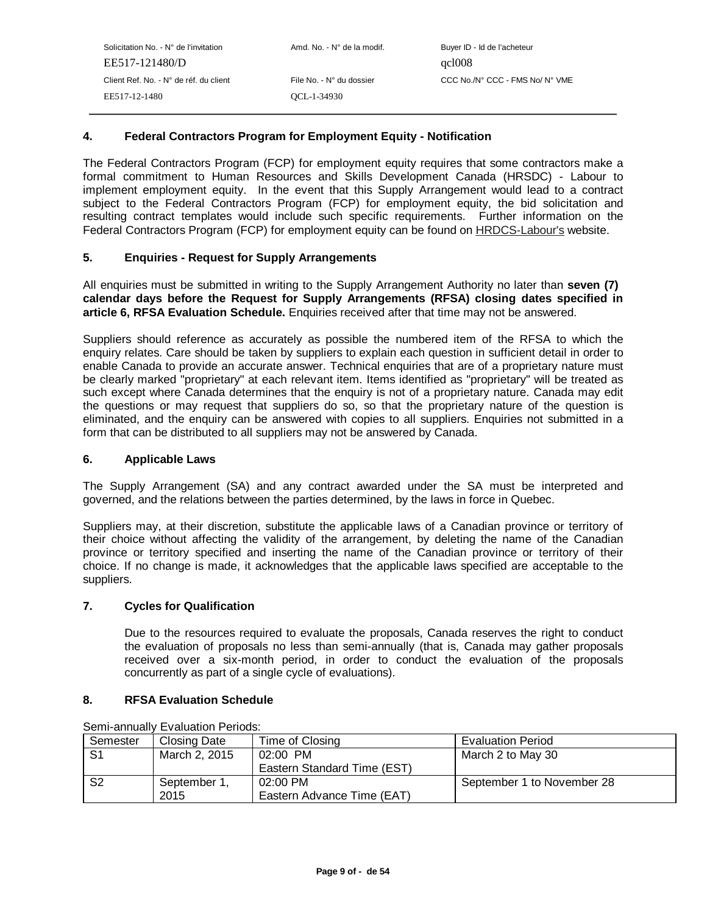## **4. Federal Contractors Program for Employment Equity - Notification**

The Federal Contractors Program (FCP) for employment equity requires that some contractors make a formal commitment to Human Resources and Skills Development Canada (HRSDC) - Labour to implement employment equity. In the event that this Supply Arrangement would lead to a contract subject to the Federal Contractors Program (FCP) for employment equity, the bid solicitation and resulting contract templates would include such specific requirements. Further information on the Federal Contractors Program (FCP) for employment equity can be found on HRDCS-Labour's website.

## **5. Enquiries - Request for Supply Arrangements**

All enquiries must be submitted in writing to the Supply Arrangement Authority no later than **seven (7) calendar days before the Request for Supply Arrangements (RFSA) closing dates specified in article 6. RFSA Evaluation Schedule.** Enquiries received after that time may not be answered.

Suppliers should reference as accurately as possible the numbered item of the RFSA to which the enquiry relates. Care should be taken by suppliers to explain each question in sufficient detail in order to enable Canada to provide an accurate answer. Technical enquiries that are of a proprietary nature must be clearly marked "proprietary" at each relevant item. Items identified as "proprietary" will be treated as such except where Canada determines that the enquiry is not of a proprietary nature. Canada may edit the questions or may request that suppliers do so, so that the proprietary nature of the question is eliminated, and the enquiry can be answered with copies to all suppliers. Enquiries not submitted in a form that can be distributed to all suppliers may not be answered by Canada.

#### **6. Applicable Laws**

The Supply Arrangement (SA) and any contract awarded under the SA must be interpreted and governed, and the relations between the parties determined, by the laws in force in Quebec.

Suppliers may, at their discretion, substitute the applicable laws of a Canadian province or territory of their choice without affecting the validity of the arrangement, by deleting the name of the Canadian province or territory specified and inserting the name of the Canadian province or territory of their choice. If no change is made, it acknowledges that the applicable laws specified are acceptable to the suppliers.

#### **7. Cycles for Qualification**

Due to the resources required to evaluate the proposals, Canada reserves the right to conduct the evaluation of proposals no less than semi-annually (that is, Canada may gather proposals received over a six-month period, in order to conduct the evaluation of the proposals concurrently as part of a single cycle of evaluations).

#### **8. RFSA Evaluation Schedule**

| Semester       | Closing Date  | Time of Closing             | <b>Evaluation Period</b>   |
|----------------|---------------|-----------------------------|----------------------------|
| S <sub>1</sub> | March 2, 2015 | $02:00$ PM                  | March 2 to May 30          |
|                |               | Eastern Standard Time (EST) |                            |
| S <sub>2</sub> | September 1.  | 02:00 PM                    | September 1 to November 28 |
|                | 2015          | Eastern Advance Time (EAT)  |                            |

Semi-annually Evaluation Periods: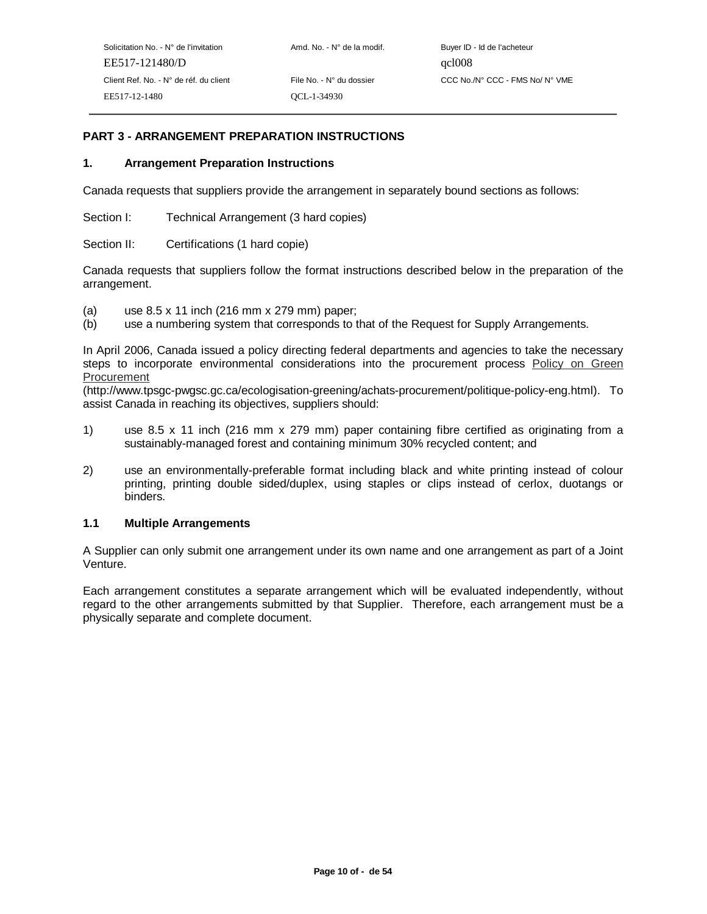# **PART 3 - ARRANGEMENT PREPARATION INSTRUCTIONS**

#### **1. Arrangement Preparation Instructions**

Canada requests that suppliers provide the arrangement in separately bound sections as follows:

Section I: Technical Arrangement (3 hard copies)

Section II: Certifications (1 hard copie)

Canada requests that suppliers follow the format instructions described below in the preparation of the arrangement.

- (a) use 8.5 x 11 inch (216 mm x 279 mm) paper;
- (b) use a numbering system that corresponds to that of the Request for Supply Arrangements.

In April 2006, Canada issued a policy directing federal departments and agencies to take the necessary steps to incorporate environmental considerations into the procurement process Policy on Green **Procurement** 

(http://www.tpsgc-pwgsc.gc.ca/ecologisation-greening/achats-procurement/politique-policy-eng.html). To assist Canada in reaching its objectives, suppliers should:

- 1) use 8.5 x 11 inch (216 mm x 279 mm) paper containing fibre certified as originating from a sustainably-managed forest and containing minimum 30% recycled content; and
- 2) use an environmentally-preferable format including black and white printing instead of colour printing, printing double sided/duplex, using staples or clips instead of cerlox, duotangs or binders.

#### **1.1 Multiple Arrangements**

A Supplier can only submit one arrangement under its own name and one arrangement as part of a Joint Venture.

Each arrangement constitutes a separate arrangement which will be evaluated independently, without regard to the other arrangements submitted by that Supplier. Therefore, each arrangement must be a physically separate and complete document.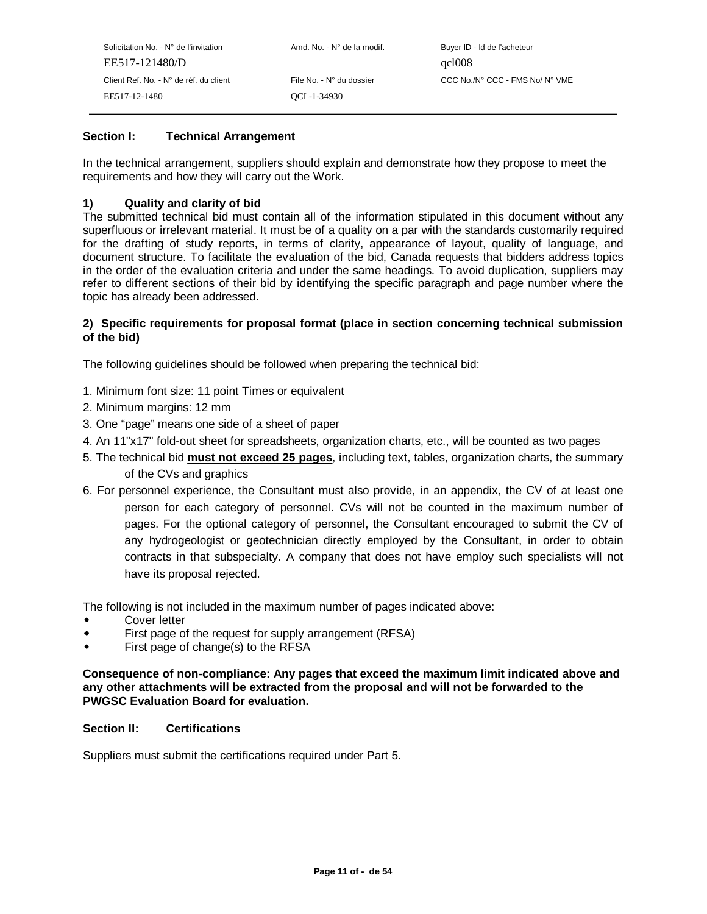| Solicitation No. - N° de l'invitation  | Amd. No. - N° de la modif. | Buyer ID - Id de l'acheteur     |
|----------------------------------------|----------------------------|---------------------------------|
| EE517-121480/D                         |                            | qcl008                          |
| Client Ref. No. - N° de réf. du client | File No. - N° du dossier   | CCC No./N° CCC - FMS No/ N° VME |
| EE517-12-1480                          | OCL-1-34930                |                                 |
|                                        |                            |                                 |

## **Section I: Technical Arrangement**

In the technical arrangement, suppliers should explain and demonstrate how they propose to meet the requirements and how they will carry out the Work.

## **1) Quality and clarity of bid**

The submitted technical bid must contain all of the information stipulated in this document without any superfluous or irrelevant material. It must be of a quality on a par with the standards customarily required for the drafting of study reports, in terms of clarity, appearance of layout, quality of language, and document structure. To facilitate the evaluation of the bid, Canada requests that bidders address topics in the order of the evaluation criteria and under the same headings. To avoid duplication, suppliers may refer to different sections of their bid by identifying the specific paragraph and page number where the topic has already been addressed.

## **2) Specific requirements for proposal format (place in section concerning technical submission of the bid)**

The following guidelines should be followed when preparing the technical bid:

- 1. Minimum font size: 11 point Times or equivalent
- 2. Minimum margins: 12 mm
- 3. One "page" means one side of a sheet of paper
- 4. An 11"x17" fold-out sheet for spreadsheets, organization charts, etc., will be counted as two pages
- 5. The technical bid **must not exceed 25 pages**, including text, tables, organization charts, the summary of the CVs and graphics
- 6. For personnel experience, the Consultant must also provide, in an appendix, the CV of at least one person for each category of personnel. CVs will not be counted in the maximum number of pages. For the optional category of personnel, the Consultant encouraged to submit the CV of any hydrogeologist or geotechnician directly employed by the Consultant, in order to obtain contracts in that subspecialty. A company that does not have employ such specialists will not have its proposal rejected.

The following is not included in the maximum number of pages indicated above:

- Cover letter
- $\bullet$ First page of the request for supply arrangement (RFSA)
- $\bullet$ First page of change(s) to the RFSA

**Consequence of non-compliance: Any pages that exceed the maximum limit indicated above and any other attachments will be extracted from the proposal and will not be forwarded to the PWGSC Evaluation Board for evaluation.**

#### **Section II: Certifications**

Suppliers must submit the certifications required under Part 5.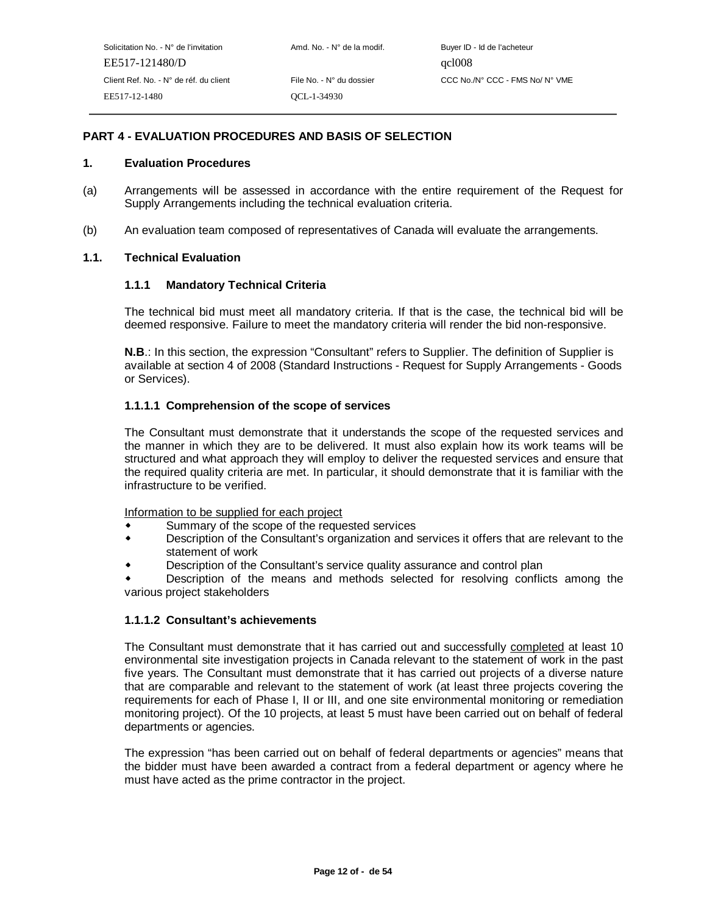## **PART 4 - EVALUATION PROCEDURES AND BASIS OF SELECTION**

#### **1. Evaluation Procedures**

- (a) Arrangements will be assessed in accordance with the entire requirement of the Request for Supply Arrangements including the technical evaluation criteria.
- (b) An evaluation team composed of representatives of Canada will evaluate the arrangements.

#### **1.1. Technical Evaluation**

#### **1.1.1 Mandatory Technical Criteria**

The technical bid must meet all mandatory criteria. If that is the case, the technical bid will be deemed responsive. Failure to meet the mandatory criteria will render the bid non-responsive.

**N.B.:** In this section, the expression "Consultant" refers to Supplier. The definition of Supplier is available at section 4 of 2008 (Standard Instructions - Request for Supply Arrangements - Goods or Services).

#### **1.1.1.1 Comprehension of the scope of services**

The Consultant must demonstrate that it understands the scope of the requested services and the manner in which they are to be delivered. It must also explain how its work teams will be structured and what approach they will employ to deliver the requested services and ensure that the required quality criteria are met. In particular, it should demonstrate that it is familiar with the infrastructure to be verified.

Information to be supplied for each project

- Summary of the scope of the requested services
- $\blacktriangle$  Description of the Consultant's organization and services it offers that are relevant to the statement of work
- Description of the Consultant's service quality assurance and control plan

 $\ddot{\phantom{0}}$ -various project stakeholders Description of the means and methods selected for resolving conflicts among the

#### **1.1.1.2 Consultant's achievements**

The Consultant must demonstrate that it has carried out and successfully completed at least 10 environmental site investigation projects in Canada relevant to the statement of work in the past five years. The Consultant must demonstrate that it has carried out projects of a diverse nature that are comparable and relevant to the statement of work (at least three projects covering the requirements for each of Phase I, II or III, and one site environmental monitoring or remediation monitoring project). Of the 10 projects, at least 5 must have been carried out on behalf of federal departments or agencies.

The expression "has been carried out on behalf of federal departments or agencies" means that the bidder must have been awarded a contract from a federal department or agency where he must have acted as the prime contractor in the project.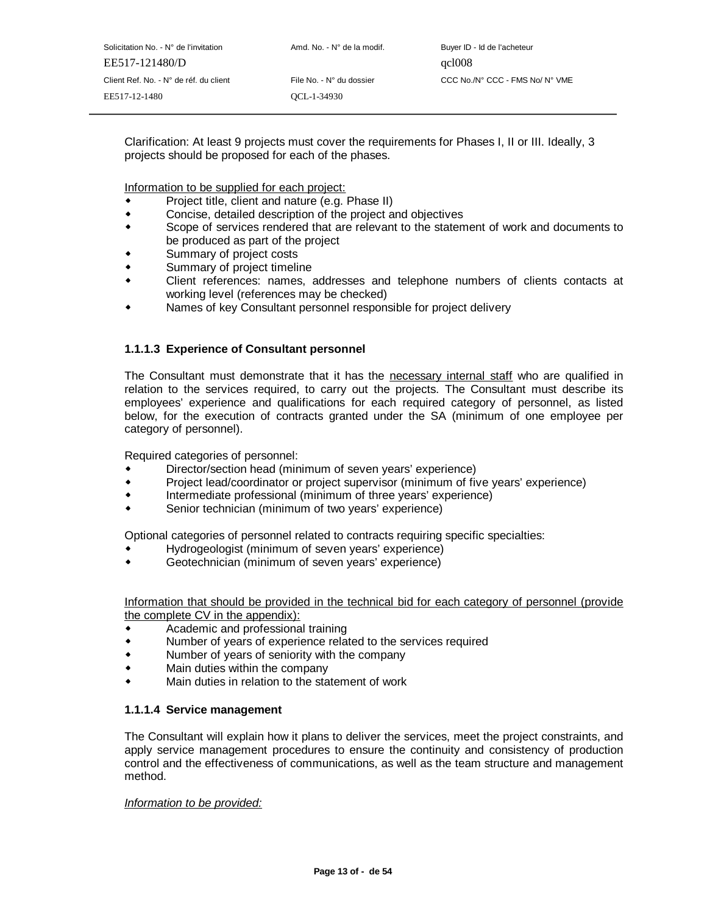Solicitation No. - N° de l'invitation Amd. No. - N° de la modif. Buyer ID - Id de l'acheteur EE517-121480/D qcl008 Client Ref. No. - N° de réf. du client File No. - N° du dossier CCC No./N° CCC - FMS No/ N° VME EE517-12-1480 QCL-1-34930

Clarification: At least 9 projects must cover the requirements for Phases I, II or III. Ideally, 3 projects should be proposed for each of the phases.

Information to be supplied for each project:

- Project title, client and nature (e.g. Phase II)
- $\bullet$ Concise, detailed description of the project and objectives
- $\bullet$  Scope of services rendered that are relevant to the statement of work and documents to be produced as part of the project
- Summary of project costs
- $\bullet$ Summary of project timeline
- $\bullet$  Client references: names, addresses and telephone numbers of clients contacts at working level (references may be checked)
- Names of key Consultant personnel responsible for project delivery

#### **1.1.1.3 Experience of Consultant personnel**

The Consultant must demonstrate that it has the necessary internal staff who are qualified in relation to the services required, to carry out the projects. The Consultant must describe its employees' experience and qualifications for each required category of personnel, as listed below, for the execution of contracts granted under the SA (minimum of one employee per category of personnel).

Required categories of personnel:

- Director/section head (minimum of seven years' experience)
- $\ddot{\phantom{0}}$ Project lead/coordinator or project supervisor (minimum of five years' experience)
- $\ddot{\phantom{0}}$ Intermediate professional (minimum of three years' experience)
- $\bullet$ Senior technician (minimum of two years' experience)

Optional categories of personnel related to contracts requiring specific specialties:

- Hydrogeologist (minimum of seven years' experience)
- $\bullet$ Geotechnician (minimum of seven years' experience)

Information that should be provided in the technical bid for each category of personnel (provide the complete CV in the appendix):

- Academic and professional training
- $\ddot{\bullet}$ Number of years of experience related to the services required
- $\bullet$ Number of years of seniority with the company
- $\bullet$ Main duties within the company
- $\ddot{\phantom{0}}$ Main duties in relation to the statement of work

#### **1.1.1.4 Service management**

The Consultant will explain how it plans to deliver the services, meet the project constraints, and apply service management procedures to ensure the continuity and consistency of production control and the effectiveness of communications, as well as the team structure and management method.

#### Information to be provided: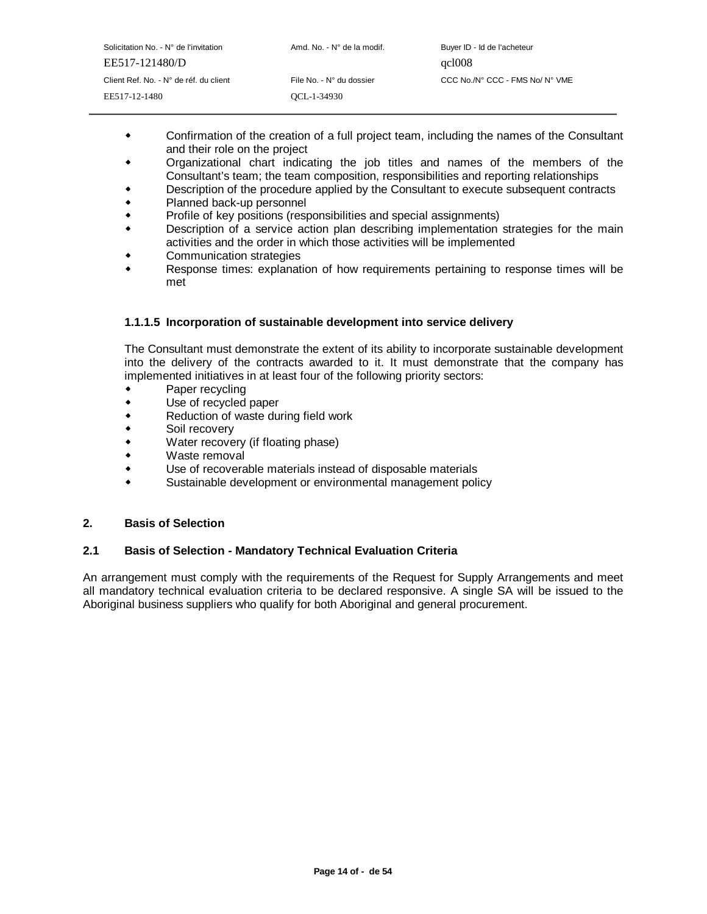| Solicitation No. - $N^{\circ}$ de l'invitation | Amd. No. - N° de la modif. | Buyer ID - Id de l'acheteur     |
|------------------------------------------------|----------------------------|---------------------------------|
| EE517-121480/D                                 |                            | qcl008                          |
| Client Ref. No. - N° de réf. du client         | File No. - N° du dossier   | CCC No./N° CCC - FMS No/ N° VME |
| EE517-12-1480                                  | OCL-1-34930                |                                 |
|                                                |                            |                                 |

- Confirmation of the creation of a full project team, including the names of the Consultant and their role on the project
- Organizational chart indicating the job titles and names of the members of the Consultant's team; the team composition, responsibilities and reporting relationships
- Description of the procedure applied by the Consultant to execute subsequent contracts
- $\bullet$ Planned back-up personnel
- $\bullet$ Profile of key positions (responsibilities and special assignments)
- $\bullet$  Description of a service action plan describing implementation strategies for the main activities and the order in which those activities will be implemented
- Communication strategies
- $\bullet$  Response times: explanation of how requirements pertaining to response times will be met

#### **1.1.1.5 Incorporation of sustainable development into service delivery**

The Consultant must demonstrate the extent of its ability to incorporate sustainable development into the delivery of the contracts awarded to it. It must demonstrate that the company has implemented initiatives in at least four of the following priority sectors:

- Paper recycling
- $\ddot{\phantom{0}}$ Use of recycled paper
- $\ddot{\bullet}$ Reduction of waste during field work
- $\bullet$ Soil recovery
- $\ddot{\phantom{0}}$ Water recovery (if floating phase)
- $\bullet$ Waste removal
- $\bullet$ Use of recoverable materials instead of disposable materials
- $\bullet$ Sustainable development or environmental management policy

#### **2. Basis of Selection**

#### **2.1 Basis of Selection - Mandatory Technical Evaluation Criteria**

An arrangement must comply with the requirements of the Request for Supply Arrangements and meet all mandatory technical evaluation criteria to be declared responsive. A single SA will be issued to the Aboriginal business suppliers who qualify for both Aboriginal and general procurement.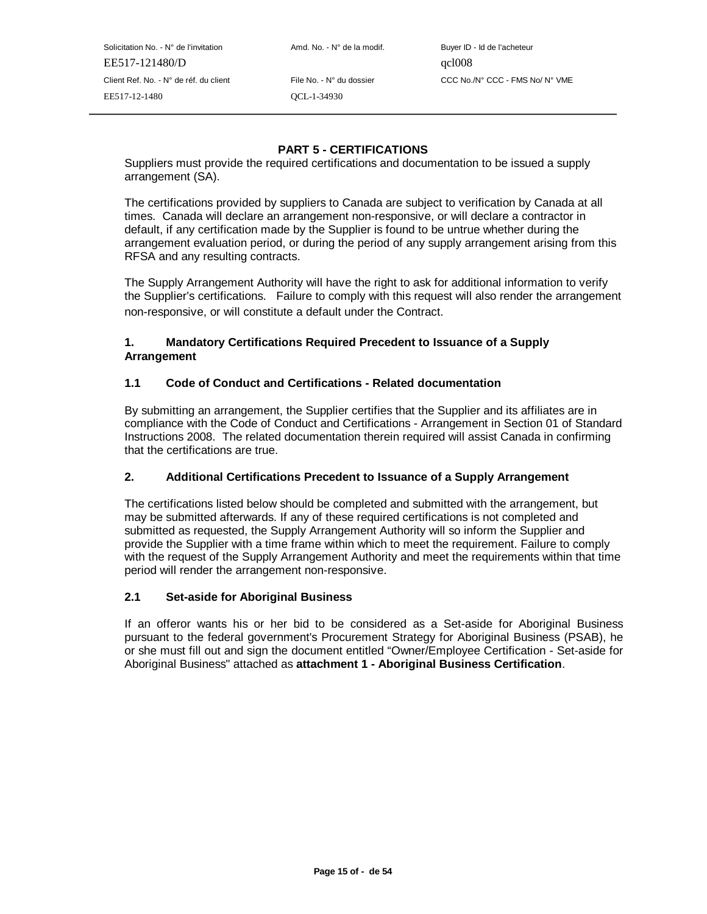Solicitation No. - N° de l'invitation Amd. No. - N° de la modif. Buyer ID - Id de l'acheteur EE517-121480/D qcl008 EE517-12-1480 QCL-1-34930

Client Ref. No. - N° de réf. du client File No. - N° du dossier CCC No./N° CCC - FMS No/ N° VME

# **PART 5 - CERTIFICATIONS**

Suppliers must provide the required certifications and documentation to be issued a supply arrangement (SA).

The certifications provided by suppliers to Canada are subject to verification by Canada at all times. Canada will declare an arrangement non-responsive, or will declare a contractor in default, if any certification made by the Supplier is found to be untrue whether during the arrangement evaluation period, or during the period of any supply arrangement arising from this RFSA and any resulting contracts.

The Supply Arrangement Authority will have the right to ask for additional information to verify the Supplier's certifications. Failure to comply with this request will also render the arrangement non-responsive, or will constitute a default under the Contract.

## **1. Mandatory Certifications Required Precedent to Issuance of a Supply Arrangement**

# **1.1 Code of Conduct and Certifications - Related documentation**

By submitting an arrangement, the Supplier certifies that the Supplier and its affiliates are in compliance with the Code of Conduct and Certifications - Arrangement in Section 01 of Standard Instructions 2008. The related documentation therein required will assist Canada in confirming that the certifications are true.

## **2. Additional Certifications Precedent to Issuance of a Supply Arrangement**

The certifications listed below should be completed and submitted with the arrangement, but may be submitted afterwards. If any of these required certifications is not completed and submitted as requested, the Supply Arrangement Authority will so inform the Supplier and provide the Supplier with a time frame within which to meet the requirement. Failure to comply with the request of the Supply Arrangement Authority and meet the requirements within that time period will render the arrangement non-responsive.

#### **2.1 Set-aside for Aboriginal Business**

If an offeror wants his or her bid to be considered as a Set-aside for Aboriginal Business pursuant to the federal government's Procurement Strategy for Aboriginal Business (PSAB), he or she must fill out and sign the document entitled "Owner/Employee Certification - Set-aside for Aboriginal Business" attached as **attachment 1 - Aboriginal Business Certification**.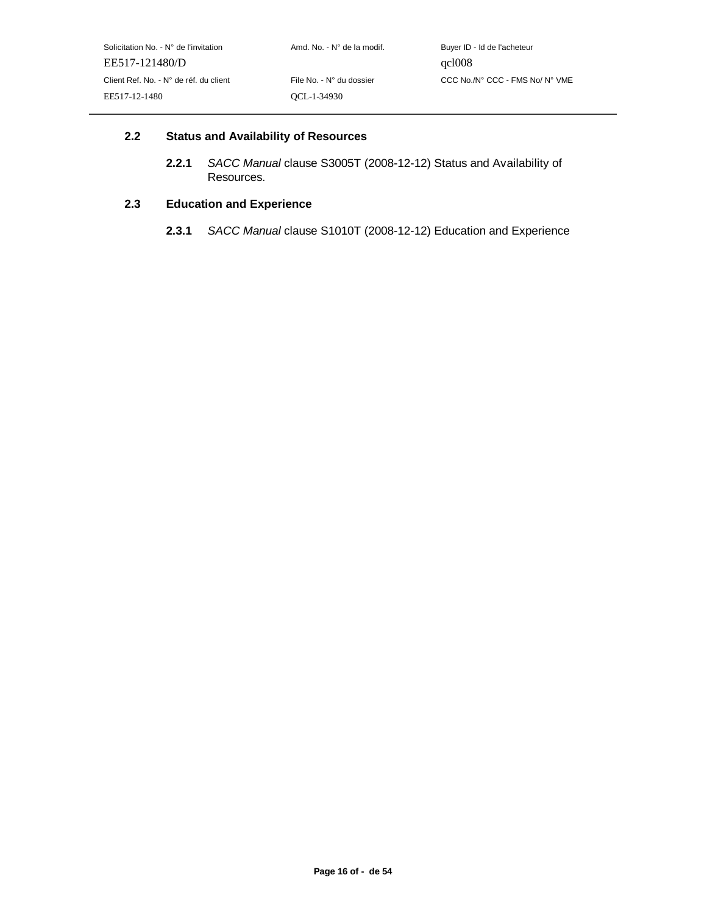## **2.2 Status and Availability of Resources**

**2.2.1** SACC Manual clause S3005T (2008-12-12) Status and Availability of Resources.

# **2.3 Education and Experience**

**2.3.1** SACC Manual clause S1010T (2008-12-12) Education and Experience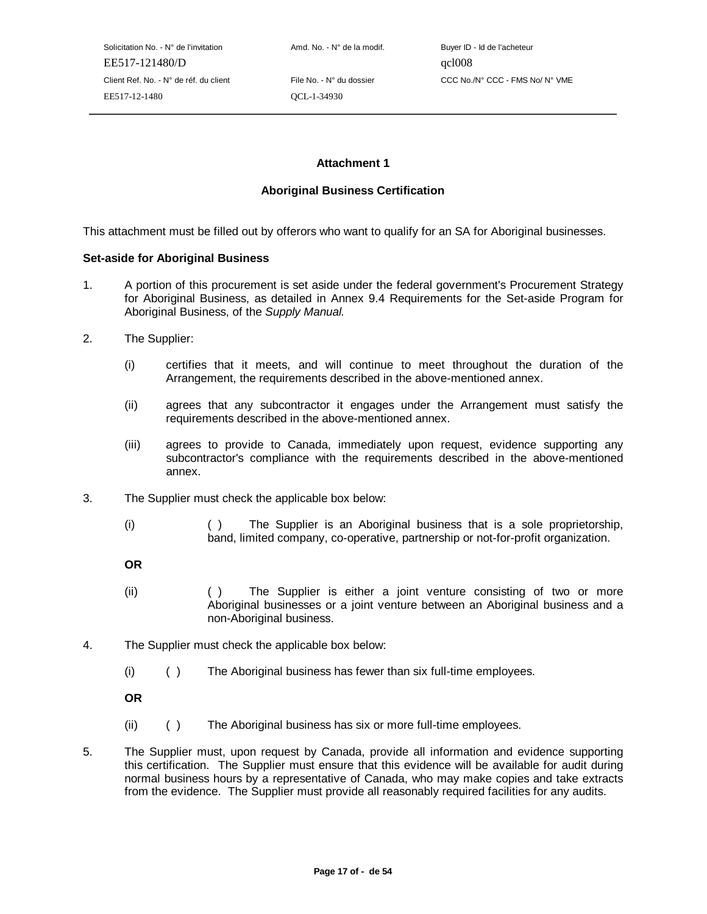Solicitation No. - N° de l'invitation  $A \cap A \cap A$  Amd. No. - N° de la modif. Buyer ID - Id de l'acheteur EE517-121480/D qcl008 EE517-12-1480 QCL-1-34930

Client Ref. No. - N° de réf. du client File No. - N° du dossier CCC No./N° CCC - FMS No/ N° VME

## **Attachment 1**

#### **Aboriginal Business Certification**

This attachment must be filled out by offerors who want to qualify for an SA for Aboriginal businesses.

#### **Set-aside for Aboriginal Business**

- 1. A portion of this procurement is set aside under the federal government's Procurement Strategy for Aboriginal Business, as detailed in Annex 9.4 Requirements for the Set-aside Program for Aboriginal Business, of the Supply Manual.
- 2. The Supplier:
	- (i) certifies that it meets, and will continue to meet throughout the duration of the Arrangement, the requirements described in the above-mentioned annex.
	- (ii) agrees that any subcontractor it engages under the Arrangement must satisfy the requirements described in the above-mentioned annex.
	- (iii) agrees to provide to Canada, immediately upon request, evidence supporting any subcontractor's compliance with the requirements described in the above-mentioned annex.
- 3. The Supplier must check the applicable box below:
	- (i) ( ) The Supplier is an Aboriginal business that is a sole proprietorship, band, limited company, co-operative, partnership or not-for-profit organization.

**OR**

- (ii) ( ) The Supplier is either a joint venture consisting of two or more Aboriginal businesses or a joint venture between an Aboriginal business and a non-Aboriginal business.
- 4. The Supplier must check the applicable box below:
	- (i) ( ) The Aboriginal business has fewer than six full-time employees.

**OR**

- (ii) ( ) The Aboriginal business has six or more full-time employees.
- 5. The Supplier must, upon request by Canada, provide all information and evidence supporting this certification. The Supplier must ensure that this evidence will be available for audit during normal business hours by a representative of Canada, who may make copies and take extracts from the evidence. The Supplier must provide all reasonably required facilities for any audits.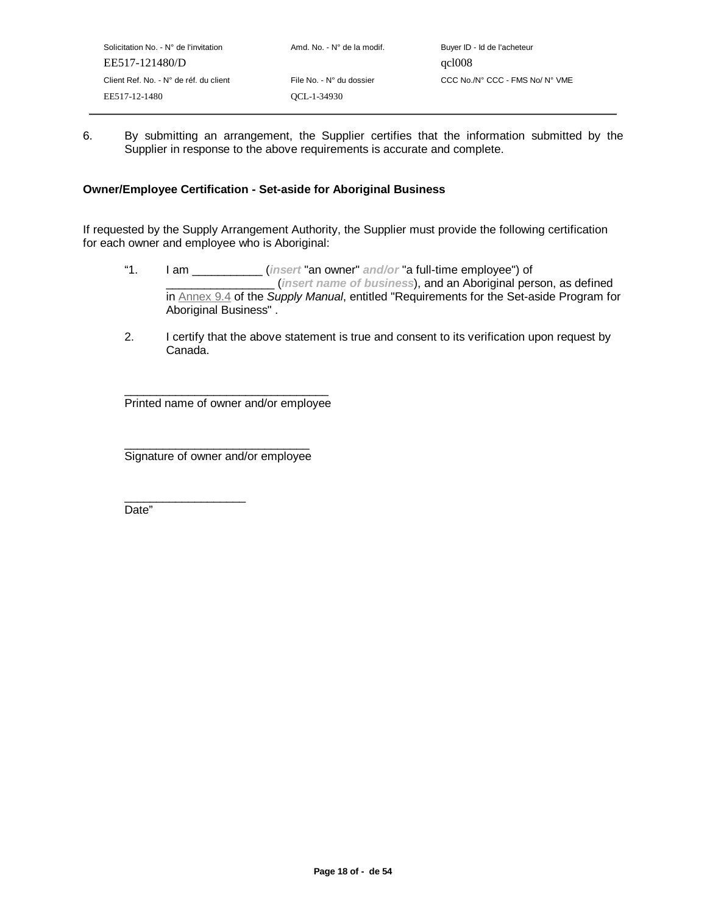6. By submitting an arrangement, the Supplier certifies that the information submitted by the Supplier in response to the above requirements is accurate and complete.

## **Owner/Employee Certification - Set-aside for Aboriginal Business**

If requested by the Supply Arrangement Authority, the Supplier must provide the following certification for each owner and employee who is Aboriginal:

- "1. I am \_\_\_\_\_\_\_\_\_\_\_ (**insert** "an owner" **and/or** "a full-time employee") of \_\_\_\_\_\_\_\_\_\_\_\_\_\_\_\_\_ (**insert name of business**), and an Aboriginal person, as defined in Annex 9.4 of the Supply Manual, entitled "Requirements for the Set-aside Program for Aboriginal Business" .
- 2. I certify that the above statement is true and consent to its verification upon request by Canada.

\_\_\_\_\_\_\_\_\_\_\_\_\_\_\_\_\_\_\_\_\_\_\_\_\_\_\_\_\_\_\_\_ Printed name of owner and/or employee

\_\_\_\_\_\_\_\_\_\_\_\_\_\_\_\_\_\_\_\_\_\_\_\_\_\_\_\_\_ Signature of owner and/or employee

 $\_$ 

Date"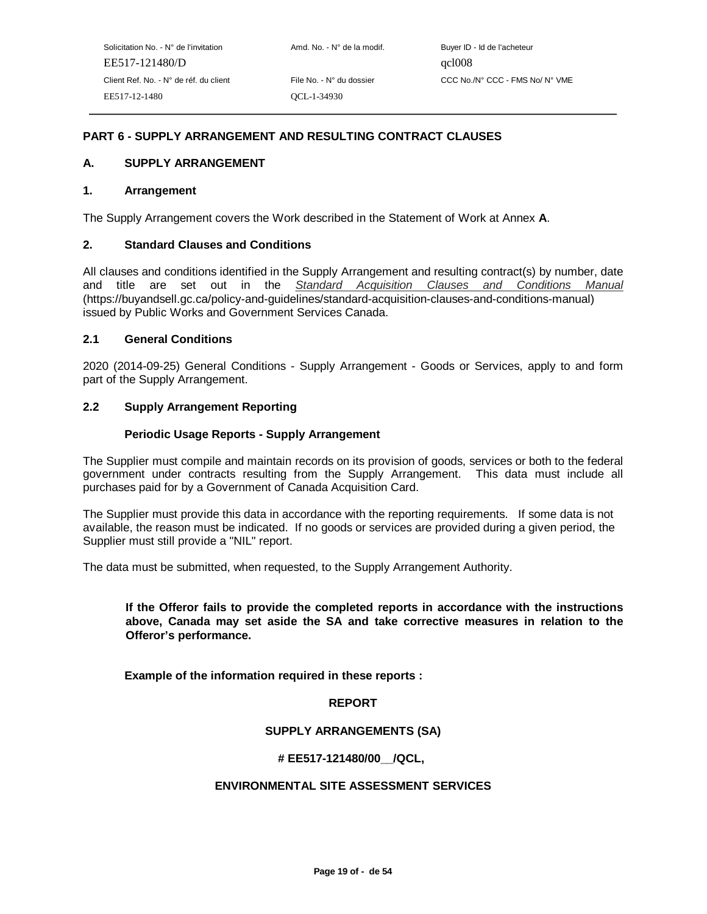# **PART 6 - SUPPLY ARRANGEMENT AND RESULTING CONTRACT CLAUSES**

## **A. SUPPLY ARRANGEMENT**

#### **1. Arrangement**

The Supply Arrangement covers the Work described in the Statement of Work at Annex **A**.

## **2. Standard Clauses and Conditions**

All clauses and conditions identified in the Supply Arrangement and resulting contract(s) by number, date and title are set out in the Standard Acquisition Clauses and Conditions Manual (https://buyandsell.gc.ca/policy-and-guidelines/standard-acquisition-clauses-and-conditions-manual) issued by Public Works and Government Services Canada.

## **2.1 General Conditions**

2020 (2014-09-25) General Conditions - Supply Arrangement - Goods or Services, apply to and form part of the Supply Arrangement.

# **2.2 Supply Arrangement Reporting**

## **Periodic Usage Reports - Supply Arrangement**

The Supplier must compile and maintain records on its provision of goods, services or both to the federal government under contracts resulting from the Supply Arrangement. This data must include all purchases paid for by a Government of Canada Acquisition Card.

The Supplier must provide this data in accordance with the reporting requirements. If some data is not available, the reason must be indicated. If no goods or services are provided during a given period, the Supplier must still provide a "NIL" report.

The data must be submitted, when requested, to the Supply Arrangement Authority.

## **If the Offeror fails to provide the completed reports in accordance with the instructions above, Canada may set aside the SA and take corrective measures in relation to the Offeror's performance.**

**Example of the information required in these reports :**

#### **REPORT**

# **SUPPLY ARRANGEMENTS (SA)**

#### **# EE517-121480/00\_\_/QCL,**

#### **ENVIRONMENTAL SITE ASSESSMENT SERVICES**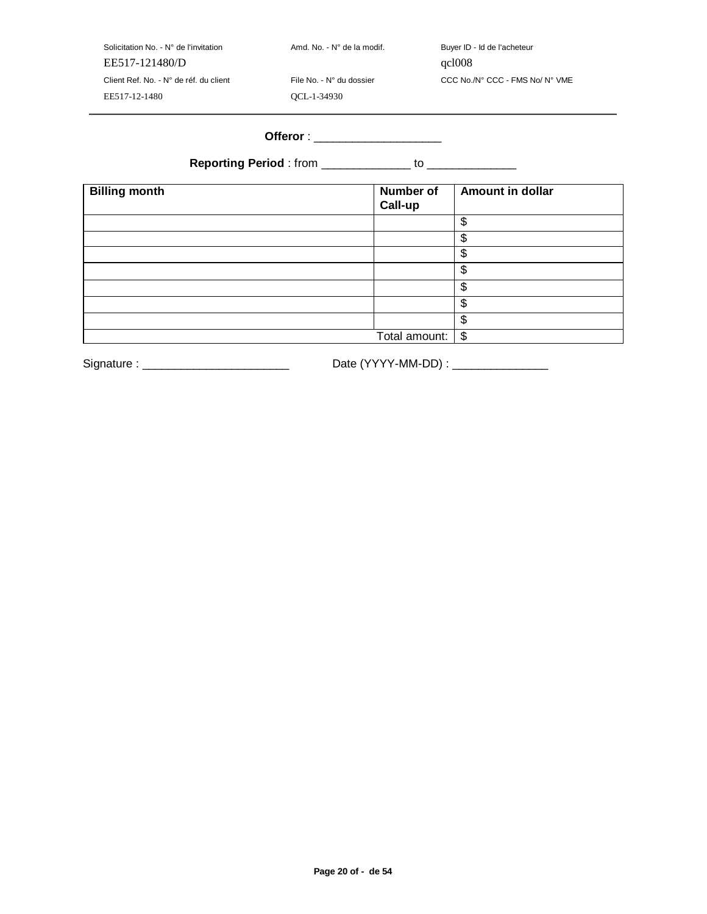| Solicitation No. - $N^{\circ}$ de l'invitation | Amd. No. - N° de la modif. | Buyer ID - Id de l'acheteur     |
|------------------------------------------------|----------------------------|---------------------------------|
| EE517-121480/D                                 |                            | qcl008                          |
| Client Ref. No. - N° de réf. du client         | File No. - N° du dossier   | CCC No./N° CCC - FMS No/ N° VME |
| EE517-12-1480                                  | OCL-1-34930                |                                 |

# **Offeror** : \_\_\_\_\_\_\_\_\_\_\_\_\_\_\_\_\_\_\_\_

**Reporting Period** : from \_\_\_\_\_\_\_\_\_\_\_\_\_\_\_ to \_\_\_\_\_\_\_\_\_\_\_\_\_\_\_

| <b>Billing month</b> | Number of<br>Call-up | <b>Amount in dollar</b> |
|----------------------|----------------------|-------------------------|
|                      |                      | \$                      |
|                      |                      | \$                      |
|                      |                      | \$                      |
|                      |                      | \$                      |
|                      |                      | \$                      |
|                      |                      | \$                      |
|                      |                      | \$                      |
|                      | Total amount:   \$   |                         |

Signature : \_\_\_\_\_\_\_\_\_\_\_\_\_\_\_\_\_\_\_\_\_\_\_ Date (YYYY-MM-DD) : \_\_\_\_\_\_\_\_\_\_\_\_\_\_\_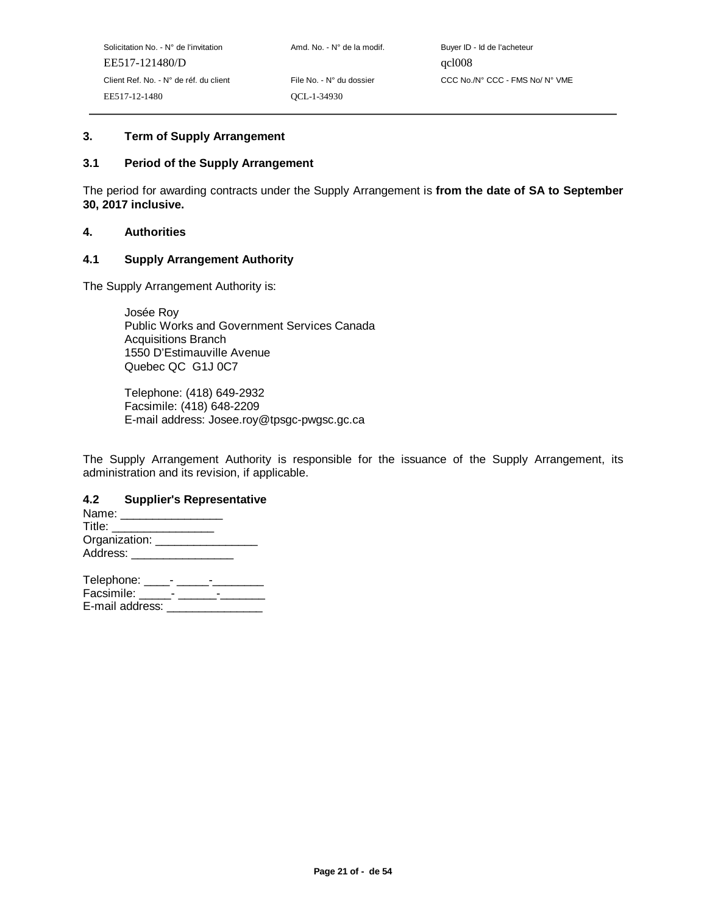# **3. Term of Supply Arrangement**

## **3.1 Period of the Supply Arrangement**

The period for awarding contracts under the Supply Arrangement is **from the date of SA to September 30, 2017 inclusive.**

#### **4. Authorities**

#### **4.1 Supply Arrangement Authority**

The Supply Arrangement Authority is:

Josée Roy Public Works and Government Services Canada Acquisitions Branch 1550 D'Estimauville Avenue Quebec QC G1J 0C7

Telephone: (418) 649-2932 Facsimile: (418) 648-2209 E-mail address: Josee.roy@tpsgc-pwgsc.gc.ca

The Supply Arrangement Authority is responsible for the issuance of the Supply Arrangement, its administration and its revision, if applicable.

#### **4.2 Supplier's Representative**

| Name:                |  |
|----------------------|--|
| Title:               |  |
| Organization: ______ |  |
| Address:             |  |

| Telephone:      |  |
|-----------------|--|
| Facsimile:      |  |
| E-mail address: |  |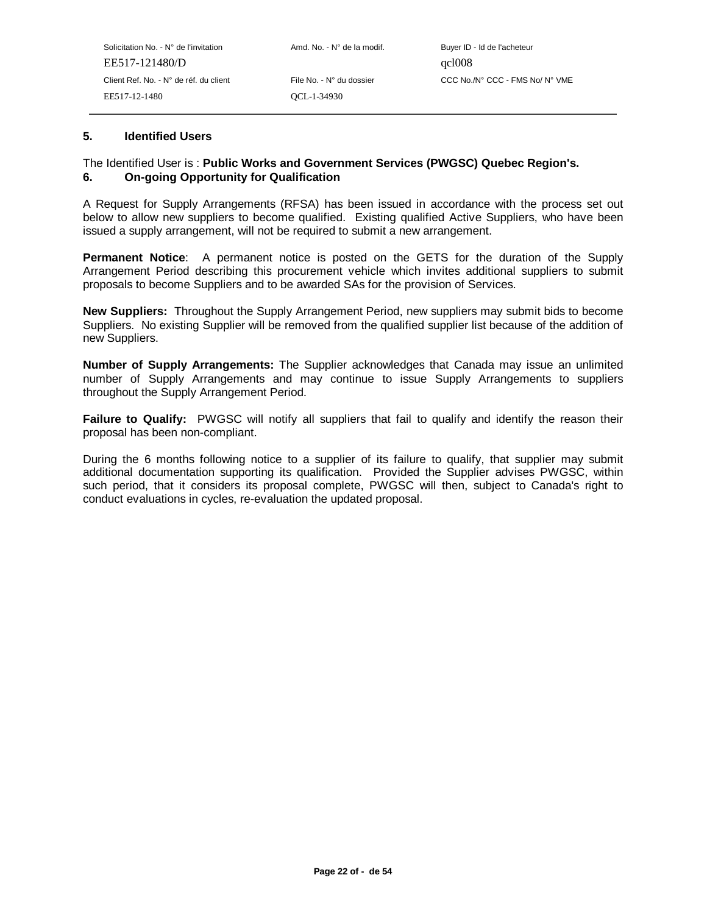#### **5. Identified Users**

## The Identified User is : **Public Works and Government Services (PWGSC) Quebec Region's. 6. On-going Opportunity for Qualification**

A Request for Supply Arrangements (RFSA) has been issued in accordance with the process set out below to allow new suppliers to become qualified. Existing qualified Active Suppliers, who have been issued a supply arrangement, will not be required to submit a new arrangement.

**Permanent Notice**: A permanent notice is posted on the GETS for the duration of the Supply Arrangement Period describing this procurement vehicle which invites additional suppliers to submit proposals to become Suppliers and to be awarded SAs for the provision of Services.

**New Suppliers:** Throughout the Supply Arrangement Period, new suppliers may submit bids to become Suppliers. No existing Supplier will be removed from the qualified supplier list because of the addition of new Suppliers.

**Number of Supply Arrangements:** The Supplier acknowledges that Canada may issue an unlimited number of Supply Arrangements and may continue to issue Supply Arrangements to suppliers throughout the Supply Arrangement Period.

Failure to Qualify: PWGSC will notify all suppliers that fail to qualify and identify the reason their proposal has been non-compliant.

During the 6 months following notice to a supplier of its failure to qualify, that supplier may submit additional documentation supporting its qualification. Provided the Supplier advises PWGSC, within such period, that it considers its proposal complete, PWGSC will then, subject to Canada's right to conduct evaluations in cycles, re-evaluation the updated proposal.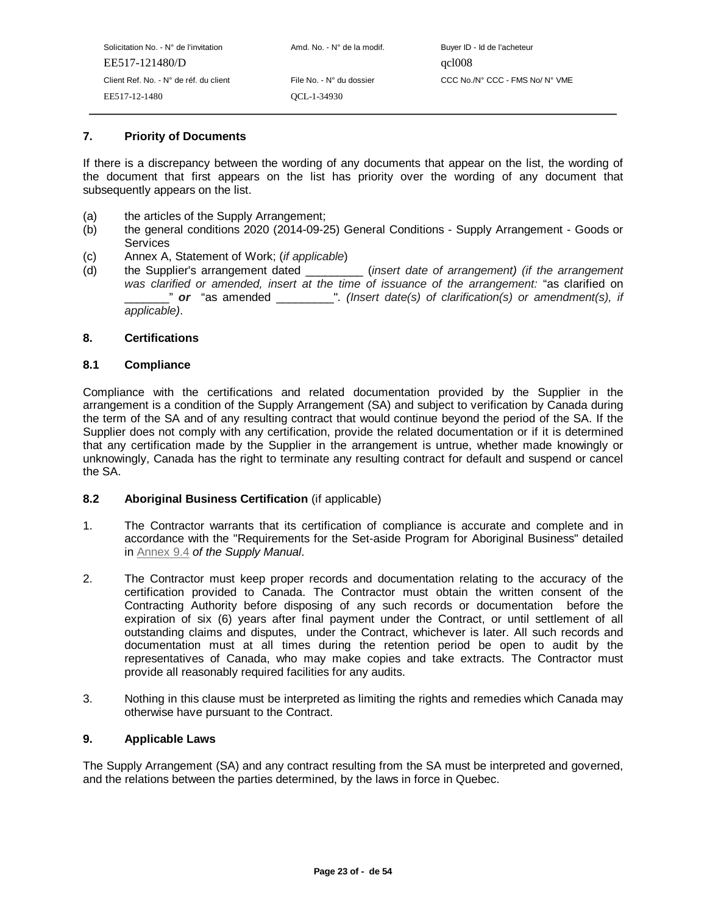| Amd. No. - N° de la modif.<br>Buyer ID - Id de l'acheteur   |
|-------------------------------------------------------------|
| qcl008                                                      |
| CCC No./N° CCC - FMS No/ N° VME<br>File No. - N° du dossier |
|                                                             |
|                                                             |

## **7. Priority of Documents**

If there is a discrepancy between the wording of any documents that appear on the list, the wording of the document that first appears on the list has priority over the wording of any document that subsequently appears on the list.

- (a) the articles of the Supply Arrangement;
- (b) the general conditions 2020 (2014-09-25) General Conditions Supply Arrangement Goods or **Services**
- (c) Annex A, Statement of Work; (if applicable)
- (d) the Supplier's arrangement dated \_\_\_\_\_\_\_\_\_\_ (insert date of arrangement) (if the arrangement was clarified or amended, insert at the time of issuance of the arrangement: "as clarified on \_\_\_\_\_\_\_" **or** "as amended \_\_\_\_\_\_\_\_\_". (Insert date(s) of clarification(s) or amendment(s), if applicable).

## **8. Certifications**

## **8.1 Compliance**

Compliance with the certifications and related documentation provided by the Supplier in the arrangement is a condition of the Supply Arrangement (SA) and subject to verification by Canada during the term of the SA and of any resulting contract that would continue beyond the period of the SA. If the Supplier does not comply with any certification, provide the related documentation or if it is determined that any certification made by the Supplier in the arrangement is untrue, whether made knowingly or unknowingly, Canada has the right to terminate any resulting contract for default and suspend or cancel the SA.

#### **8.2 Aboriginal Business Certification** (if applicable)

- 1. The Contractor warrants that its certification of compliance is accurate and complete and in accordance with the "Requirements for the Set-aside Program for Aboriginal Business" detailed in Annex 9.4 of the Supply Manual.
- 2. The Contractor must keep proper records and documentation relating to the accuracy of the certification provided to Canada. The Contractor must obtain the written consent of the Contracting Authority before disposing of any such records or documentation before the expiration of six (6) years after final payment under the Contract, or until settlement of all outstanding claims and disputes, under the Contract, whichever is later. All such records and documentation must at all times during the retention period be open to audit by the representatives of Canada, who may make copies and take extracts. The Contractor must provide all reasonably required facilities for any audits.
- 3. Nothing in this clause must be interpreted as limiting the rights and remedies which Canada may otherwise have pursuant to the Contract.

#### **9. Applicable Laws**

The Supply Arrangement (SA) and any contract resulting from the SA must be interpreted and governed, and the relations between the parties determined, by the laws in force in Quebec.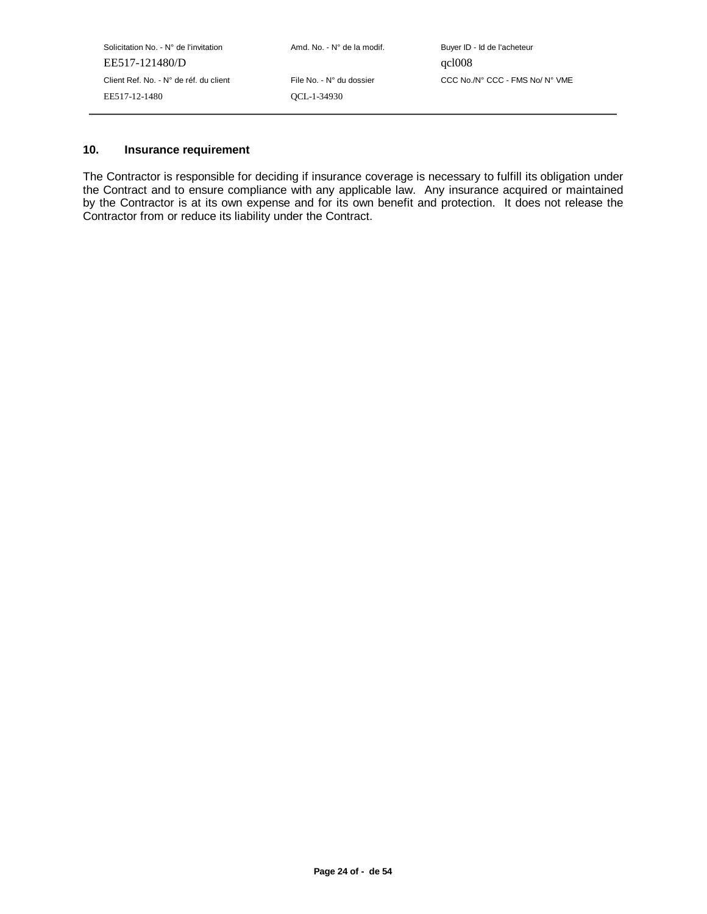| Solicitation No. $\cdot$ N° de l'invitation | Amd. No. - N° de la modif. | Buyer ID - Id de l'acheteur     |
|---------------------------------------------|----------------------------|---------------------------------|
| EE517-121480/D                              |                            | qcl008                          |
| Client Ref. No. - N° de réf. du client      | File No. - N° du dossier   | CCC No./N° CCC - FMS No/ N° VME |
| EE517-12-1480                               | OCL-1-34930                |                                 |
|                                             |                            |                                 |

## **10. Insurance requirement**

The Contractor is responsible for deciding if insurance coverage is necessary to fulfill its obligation under the Contract and to ensure compliance with any applicable law. Any insurance acquired or maintained by the Contractor is at its own expense and for its own benefit and protection. It does not release the Contractor from or reduce its liability under the Contract.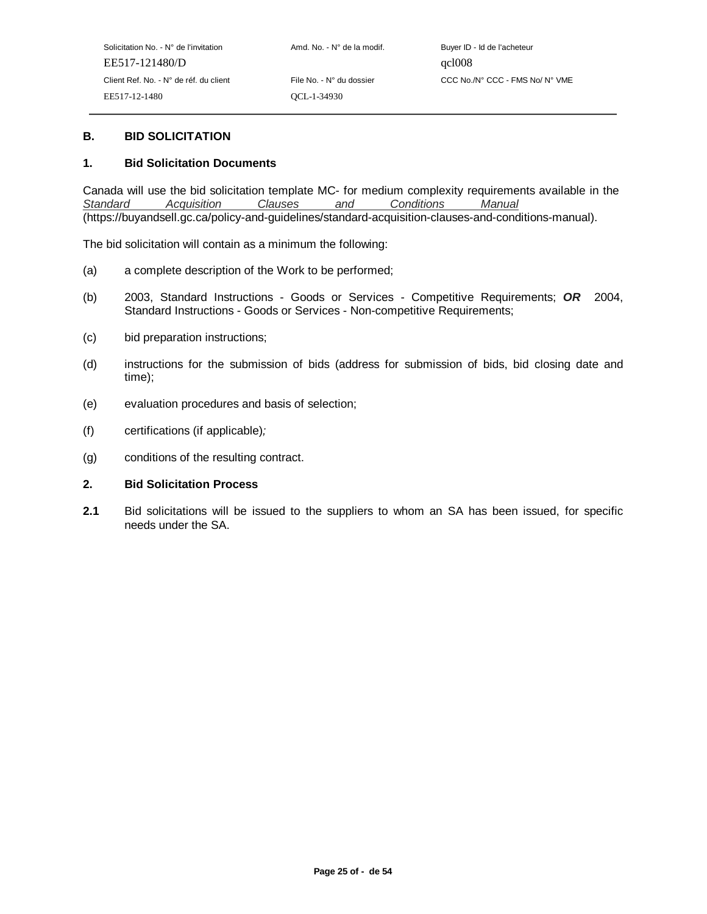## **B. BID SOLICITATION**

#### **1. Bid Solicitation Documents**

Canada will use the bid solicitation template MC- for medium complexity requirements available in the Standard Acquisition Clauses and Conditions Manual (https://buyandsell.gc.ca/policy-and-guidelines/standard-acquisition-clauses-and-conditions-manual).

The bid solicitation will contain as a minimum the following:

- (a) a complete description of the Work to be performed;
- (b) 2003, Standard Instructions Goods or Services Competitive Requirements; **OR** 2004, Standard Instructions - Goods or Services - Non-competitive Requirements;
- (c) bid preparation instructions;
- (d) instructions for the submission of bids (address for submission of bids, bid closing date and time);
- (e) evaluation procedures and basis of selection;
- (f) certifications (if applicable);
- (g) conditions of the resulting contract.

#### **2. Bid Solicitation Process**

**2.1** Bid solicitations will be issued to the suppliers to whom an SA has been issued, for specific needs under the SA.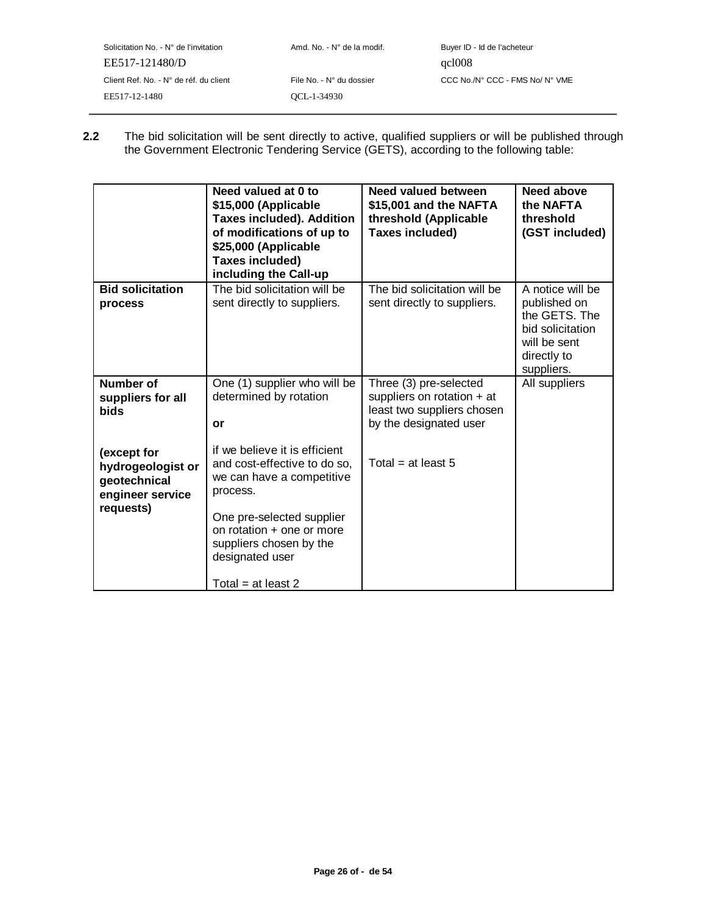| Solicitation No. - N° de l'invitation  | Amd. No. - N° de la modif. | Buyer ID - Id de l'acheteur     |
|----------------------------------------|----------------------------|---------------------------------|
| EE517-121480/D                         |                            | qcl008                          |
| Client Ref. No. - N° de réf. du client | File No. - N° du dossier   | CCC No./N° CCC - FMS No/ N° VME |
| EE517-12-1480                          | OCL-1-34930                |                                 |
|                                        |                            |                                 |

**2.2** The bid solicitation will be sent directly to active, qualified suppliers or will be published through the Government Electronic Tendering Service (GETS), according to the following table:

|                                                                      | Need valued at 0 to<br>\$15,000 (Applicable<br><b>Taxes included). Addition</b><br>of modifications of up to<br>\$25,000 (Applicable<br>Taxes included)<br>including the Call-up | Need valued between<br>\$15,001 and the NAFTA<br>threshold (Applicable<br>Taxes included)                      | <b>Need above</b><br>the NAFTA<br>threshold<br>(GST included)                                                      |
|----------------------------------------------------------------------|----------------------------------------------------------------------------------------------------------------------------------------------------------------------------------|----------------------------------------------------------------------------------------------------------------|--------------------------------------------------------------------------------------------------------------------|
| <b>Bid solicitation</b><br>process                                   | The bid solicitation will be<br>sent directly to suppliers.                                                                                                                      | The bid solicitation will be<br>sent directly to suppliers.                                                    | A notice will be<br>published on<br>the GETS. The<br>bid solicitation<br>will be sent<br>directly to<br>suppliers. |
| Number of<br>suppliers for all<br><b>bids</b>                        | One (1) supplier who will be<br>determined by rotation<br>or                                                                                                                     | Three (3) pre-selected<br>suppliers on rotation $+$ at<br>least two suppliers chosen<br>by the designated user | All suppliers                                                                                                      |
| (except for<br>hydrogeologist or<br>geotechnical<br>engineer service | if we believe it is efficient<br>and cost-effective to do so,<br>we can have a competitive<br>process.                                                                           | Total = at least 5                                                                                             |                                                                                                                    |
| requests)                                                            | One pre-selected supplier<br>on rotation + one or more<br>suppliers chosen by the<br>designated user                                                                             |                                                                                                                |                                                                                                                    |
|                                                                      | Total = at least 2                                                                                                                                                               |                                                                                                                |                                                                                                                    |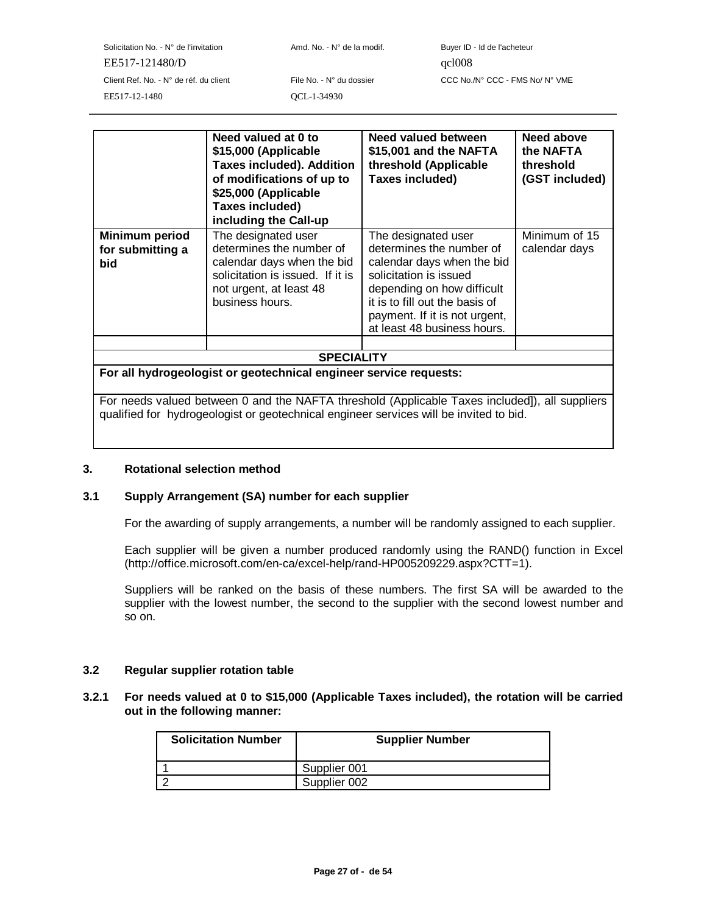Solicitation No. - N° de l'invitation  $A \cap A \cap A$  Amd. No. - N° de la modif. Buyer ID - Id de l'acheteur EE517-121480/D qcl008 Client Ref. No. - N° de réf. du client File No. - N° du dossier CCC No./N° CCC - FMS No/ N° VME EE517-12-1480 QCL-1-34930

|                                                                   | Need valued at 0 to<br>\$15,000 (Applicable<br><b>Taxes included). Addition</b><br>of modifications of up to<br>\$25,000 (Applicable<br>Taxes included)<br>including the Call-up | Need valued between<br>\$15,001 and the NAFTA<br>threshold (Applicable<br>Taxes included)                                                                                                                                               | Need above<br>the NAFTA<br>threshold<br>(GST included) |
|-------------------------------------------------------------------|----------------------------------------------------------------------------------------------------------------------------------------------------------------------------------|-----------------------------------------------------------------------------------------------------------------------------------------------------------------------------------------------------------------------------------------|--------------------------------------------------------|
| Minimum period<br>for submitting a<br>bid                         | The designated user<br>determines the number of<br>calendar days when the bid<br>solicitation is issued. If it is<br>not urgent, at least 48<br>business hours.                  | The designated user<br>determines the number of<br>calendar days when the bid<br>solicitation is issued<br>depending on how difficult<br>it is to fill out the basis of<br>payment. If it is not urgent,<br>at least 48 business hours. | Minimum of 15<br>calendar days                         |
|                                                                   |                                                                                                                                                                                  |                                                                                                                                                                                                                                         |                                                        |
| <b>SPECIALITY</b>                                                 |                                                                                                                                                                                  |                                                                                                                                                                                                                                         |                                                        |
| For all hydrogeologist or geotechnical engineer service requests: |                                                                                                                                                                                  |                                                                                                                                                                                                                                         |                                                        |
|                                                                   | For needs valued between 0 and the NAFTA threshold (Applicable Taxes included), all suppliers                                                                                    |                                                                                                                                                                                                                                         |                                                        |

qualified for hydrogeologist or geotechnical engineer services will be invited to bid.

#### **3. Rotational selection method**

#### **3.1 Supply Arrangement (SA) number for each supplier**

For the awarding of supply arrangements, a number will be randomly assigned to each supplier.

Each supplier will be given a number produced randomly using the RAND() function in Excel (http://office.microsoft.com/en-ca/excel-help/rand-HP005209229.aspx?CTT=1).

Suppliers will be ranked on the basis of these numbers. The first SA will be awarded to the supplier with the lowest number, the second to the supplier with the second lowest number and so on.

#### **3.2 Regular supplier rotation table**

#### **3.2.1 For needs valued at 0 to \$15,000 (Applicable Taxes included), the rotation will be carried out in the following manner:**

| <b>Solicitation Number</b> | <b>Supplier Number</b> |
|----------------------------|------------------------|
|                            | Supplier 001           |
|                            | Supplier 002           |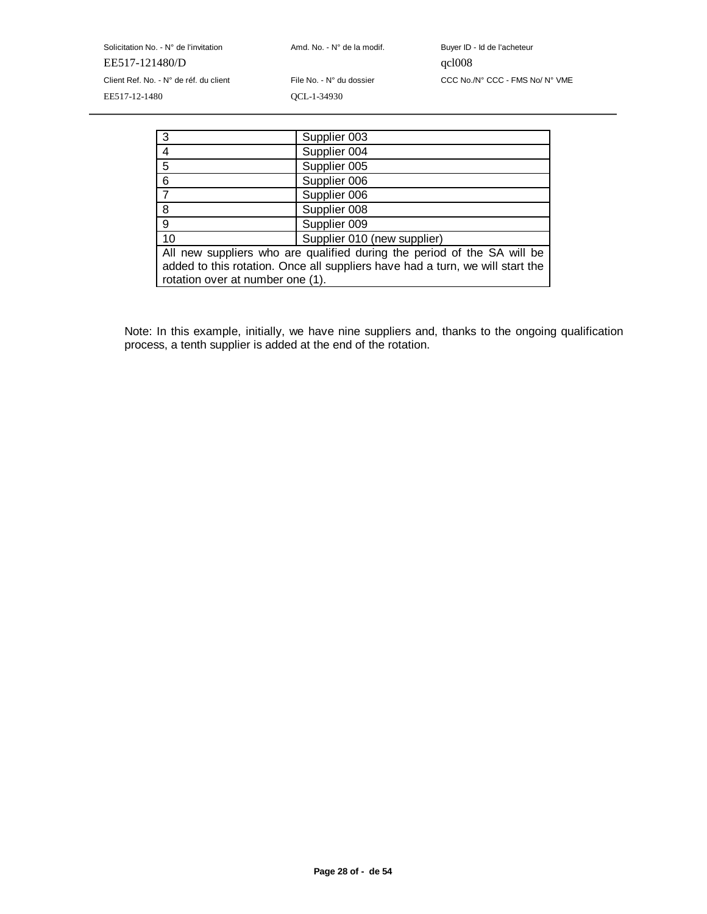Solicitation No. - N° de l'invitation  $A \cap A$ nd. No. - N° de la modif. Buyer ID - Id de l'acheteur EE517-121480/D qcl008 Client Ref. No. - N° de réf. du client File No. - N° du dossier CCC No./N° CCC - FMS No/ N° VME EE517-12-1480 QCL-1-34930

|                                                                               | Supplier 003                |  |
|-------------------------------------------------------------------------------|-----------------------------|--|
|                                                                               | Supplier 004                |  |
| 5                                                                             | Supplier 005                |  |
| 6                                                                             | Supplier 006                |  |
|                                                                               | Supplier 006                |  |
| 8                                                                             | Supplier 008                |  |
| 9                                                                             | Supplier 009                |  |
| 10                                                                            | Supplier 010 (new supplier) |  |
| All new suppliers who are qualified during the period of the SA will be       |                             |  |
| added to this rotation. Once all suppliers have had a turn, we will start the |                             |  |
| rotation over at number one (1).                                              |                             |  |

Note: In this example, initially, we have nine suppliers and, thanks to the ongoing qualification process, a tenth supplier is added at the end of the rotation.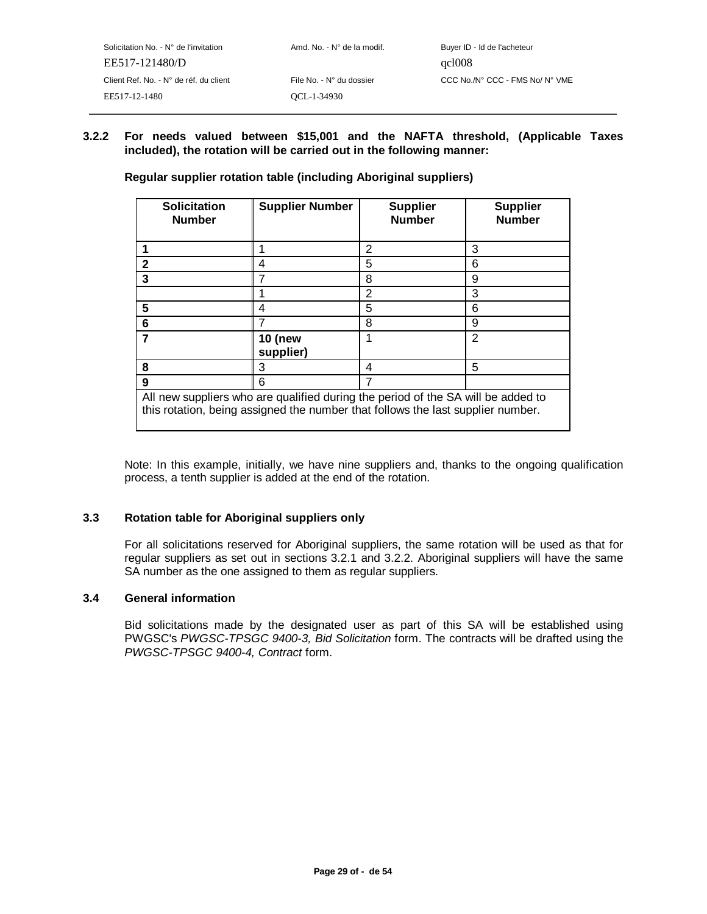# **3.2.2 For needs valued between \$15,001 and the NAFTA threshold, (Applicable Taxes included), the rotation will be carried out in the following manner:**

| <b>Solicitation</b><br><b>Number</b>                                                                                                                                | <b>Supplier Number</b>      | <b>Supplier</b><br><b>Number</b> | <b>Supplier</b><br><b>Number</b> |
|---------------------------------------------------------------------------------------------------------------------------------------------------------------------|-----------------------------|----------------------------------|----------------------------------|
|                                                                                                                                                                     |                             | 2                                | 3                                |
| $\mathbf 2$                                                                                                                                                         | 4                           | 5                                | 6                                |
| 3                                                                                                                                                                   | 7                           | 8                                | 9                                |
|                                                                                                                                                                     |                             | 2                                | 3                                |
| 5                                                                                                                                                                   | 4                           | 5                                | 6                                |
| 6                                                                                                                                                                   |                             | 8                                | 9                                |
| 7                                                                                                                                                                   | <b>10 (new</b><br>supplier) | 1                                | 2                                |
| 8                                                                                                                                                                   | 3                           | 4                                | 5                                |
| 9                                                                                                                                                                   | 6                           | 7                                |                                  |
| All new suppliers who are qualified during the period of the SA will be added to<br>this rotation, being assigned the number that follows the last supplier number. |                             |                                  |                                  |

**Regular supplier rotation table (including Aboriginal suppliers)** 

Note: In this example, initially, we have nine suppliers and, thanks to the ongoing qualification process, a tenth supplier is added at the end of the rotation.

#### **3.3 Rotation table for Aboriginal suppliers only**

For all solicitations reserved for Aboriginal suppliers, the same rotation will be used as that for regular suppliers as set out in sections 3.2.1 and 3.2.2. Aboriginal suppliers will have the same SA number as the one assigned to them as regular suppliers.

#### **3.4 General information**

Bid solicitations made by the designated user as part of this SA will be established using PWGSC's PWGSC-TPSGC 9400-3, Bid Solicitation form. The contracts will be drafted using the PWGSC-TPSGC 9400-4, Contract form.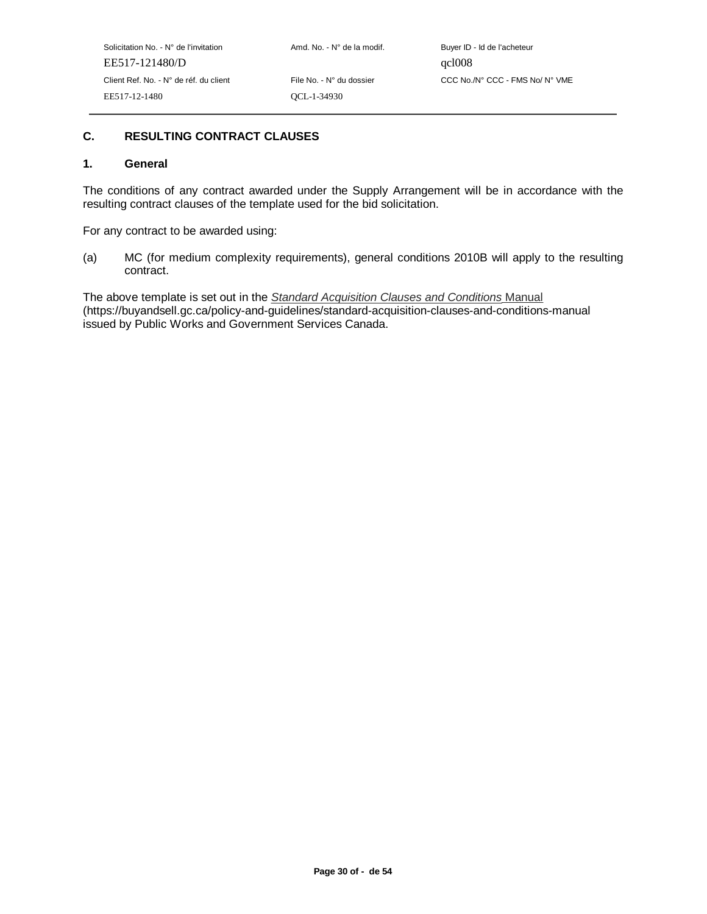# **C. RESULTING CONTRACT CLAUSES**

#### **1. General**

The conditions of any contract awarded under the Supply Arrangement will be in accordance with the resulting contract clauses of the template used for the bid solicitation.

For any contract to be awarded using:

(a) MC (for medium complexity requirements), general conditions 2010B will apply to the resulting contract.

The above template is set out in the Standard Acquisition Clauses and Conditions Manual (https://buyandsell.gc.ca/policy-and-guidelines/standard-acquisition-clauses-and-conditions-manual issued by Public Works and Government Services Canada.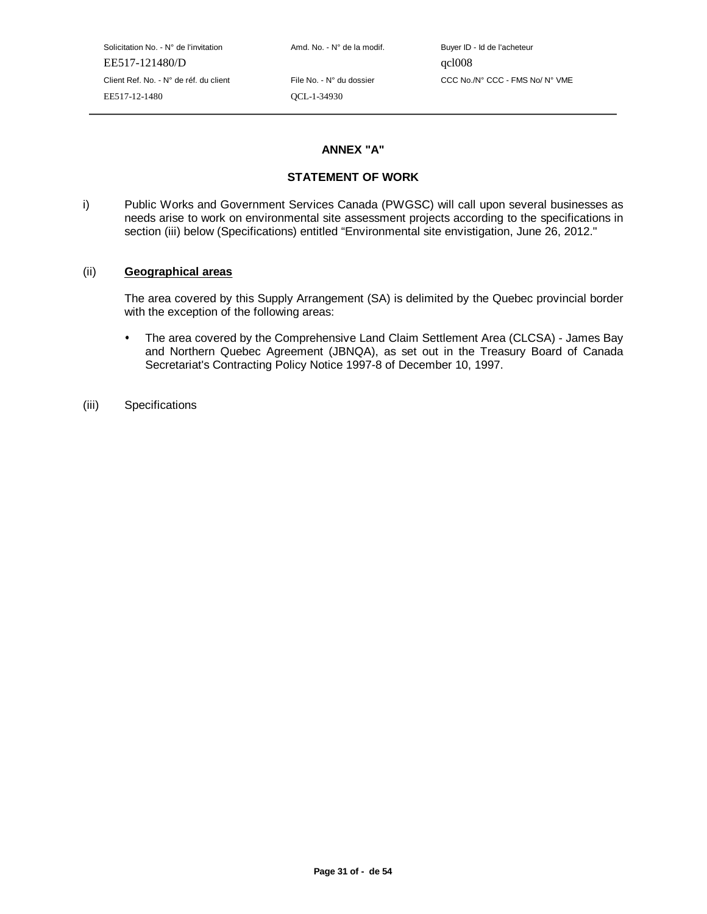Solicitation No. - N° de l'invitation Amd. No. - N° de la modif. Buyer ID - Id de l'acheteur EE517-121480/D qcl008 EE517-12-1480 QCL-1-34930

Client Ref. No. - N° de réf. du client File No. - N° du dossier CCC No./N° CCC - FMS No/ N° VME

#### **ANNEX "A"**

## **STATEMENT OF WORK**

i) Public Works and Government Services Canada (PWGSC) will call upon several businesses as needs arise to work on environmental site assessment projects according to the specifications in section (iii) below (Specifications) entitled "Environmental site envistigation, June 26, 2012."

#### (ii) **Geographical areas**

The area covered by this Supply Arrangement (SA) is delimited by the Quebec provincial border with the exception of the following areas:

- The area covered by the Comprehensive Land Claim Settlement Area (CLCSA) James Bay and Northern Quebec Agreement (JBNQA), as set out in the Treasury Board of Canada Secretariat's Contracting Policy Notice 1997-8 of December 10, 1997.
- (iii) Specifications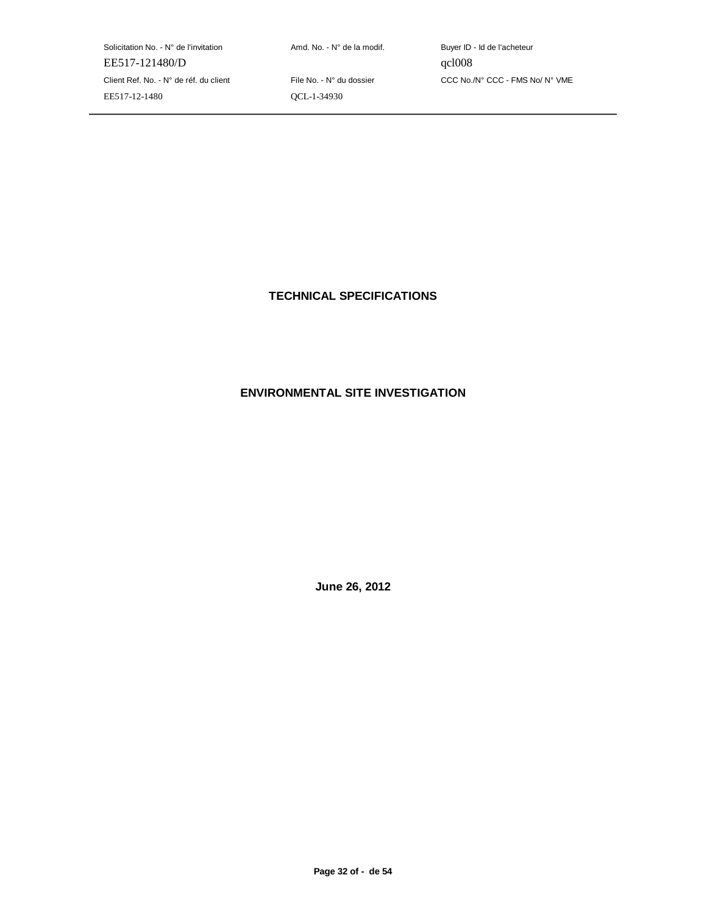Solicitation No. - N° de l'invitation  $A \cap A \cap A$  Amd. No. - N° de la modif. Buyer ID - Id de l'acheteur EE517-121480/D qcl008 Client Ref. No. - N° de réf. du client File No. - N° du dossier CCC No./N° CCC - FMS No/ N° VME EE517-12-1480 QCL-1-34930

**TECHNICAL SPECIFICATIONS**

# **ENVIRONMENTAL SITE INVESTIGATION**

**June 26, 2012**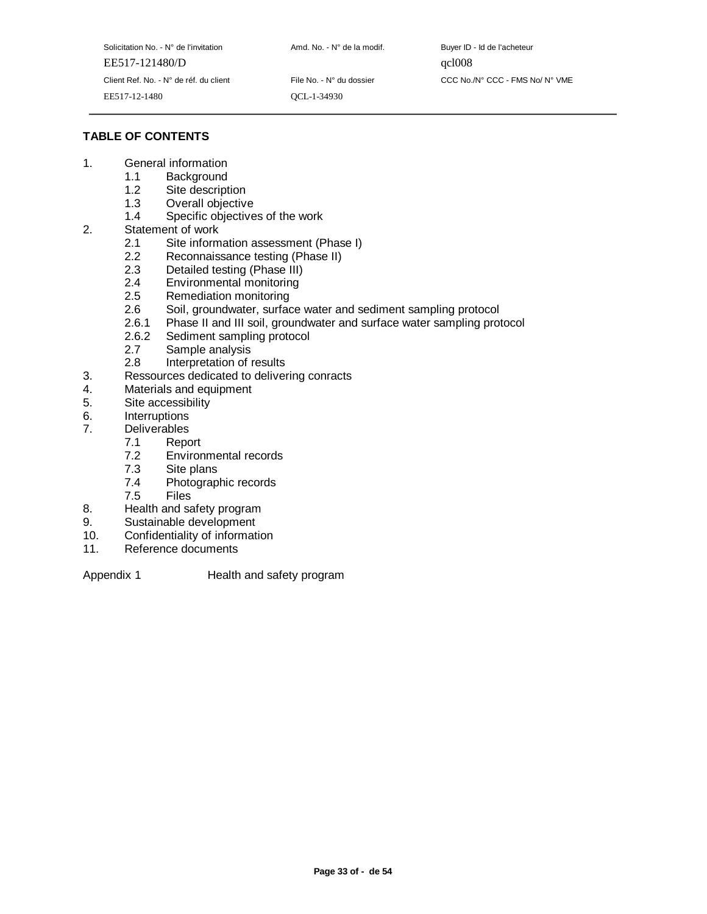| Solicitation No. - N° de l'invitation  | Amd. No. - N° de la modif. | Buyer ID |
|----------------------------------------|----------------------------|----------|
| EE517-121480/D                         |                            | qc1008   |
| Client Ref. No. - N° de réf. du client | File No. - N° du dossier   | CCC No.  |
| EE517-12-1480                          | OCL-1-34930                |          |

Amd. No. - N° de la modif. Buyer ID - Id de l'acheteur File No. - N° du dossier CCC No./N° CCC - FMS No/ N° VME

# **TABLE OF CONTENTS**

- 1. General information
	- 1.1 Background<br>1.2 Site descript
	- 1.2 Site description<br>1.3 Overall objective
	- Overall objective
	- 1.4 Specific objectives of the work
- 2. Statement of work
	- 2.1 Site information assessment (Phase I)
	- 2.2 Reconnaissance testing (Phase II)
	- 2.3 Detailed testing (Phase III)
	- 2.4 Environmental monitoring
	- 2.5 Remediation monitoring
	- 2.6 Soil, groundwater, surface water and sediment sampling protocol
	- 2.6.1 Phase II and III soil, groundwater and surface water sampling protocol 2.6.2 Sediment sampling protocol
	- 2.6.2 Sediment sampling protocol<br>2.7 Sample analysis
	- Sample analysis
	- 2.8 Interpretation of results
- 3. Ressources dedicated to delivering conracts
- 4. Materials and equipment
- 5. Site accessibility
- 6. Interruptions
- 7. Deliverables
	- 7.1 Report
	- 7.2 Environmental records
	- 7.3 Site plans
	- 7.4 Photographic records<br>7.5 Files
	- **Files**
- 8. Health and safety program
- 9. Sustainable development
- 10. Confidentiality of information
- 11. Reference documents

Appendix 1 Health and safety program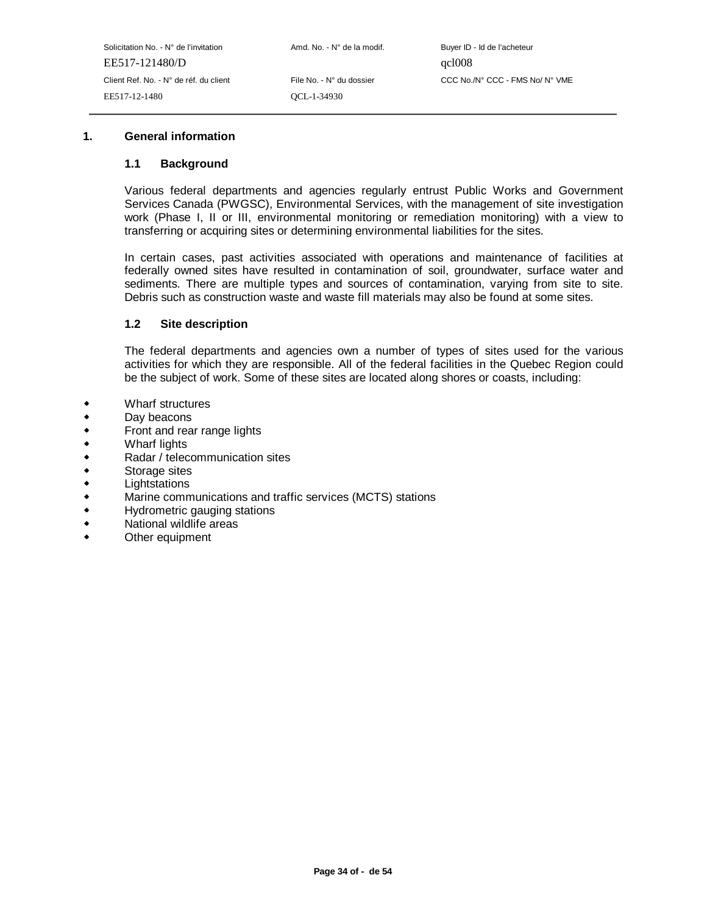#### **1. General information**

#### **1.1 Background**

Various federal departments and agencies regularly entrust Public Works and Government Services Canada (PWGSC), Environmental Services, with the management of site investigation work (Phase I, II or III, environmental monitoring or remediation monitoring) with a view to transferring or acquiring sites or determining environmental liabilities for the sites.

In certain cases, past activities associated with operations and maintenance of facilities at federally owned sites have resulted in contamination of soil, groundwater, surface water and sediments. There are multiple types and sources of contamination, varying from site to site. Debris such as construction waste and waste fill materials may also be found at some sites.

#### **1.2 Site description**

The federal departments and agencies own a number of types of sites used for the various activities for which they are responsible. All of the federal facilities in the Quebec Region could be the subject of work. Some of these sites are located along shores or coasts, including:

- $\bullet$ Wharf structures
- $\ddot{\bullet}$ Day beacons
- $\ddot{\bullet}$ Front and rear range lights
- $\ddot{\bullet}$ Wharf lights
- $\ddot{\bullet}$ Radar / telecommunication sites
- $\ddot{\bullet}$ Storage sites
- $\ddot{\phantom{0}}$ **Lightstations**
- $\bullet$ Marine communications and traffic services (MCTS) stations
- $\blacklozenge$ Hydrometric gauging stations
- $\ddot{\bullet}$ National wildlife areas
- $\ddot{\phantom{0}}$ Other equipment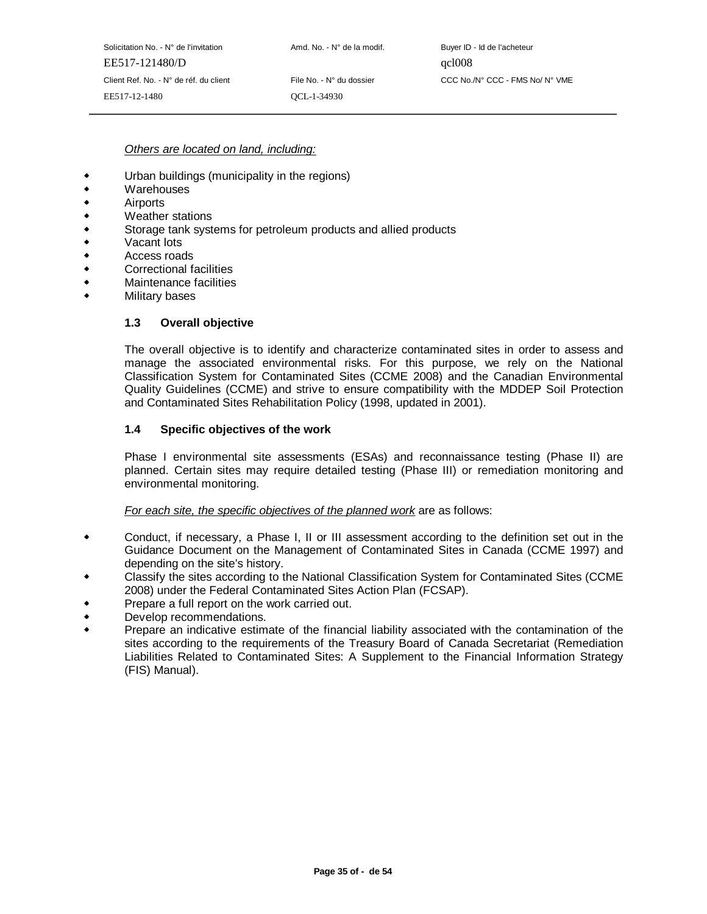#### Others are located on land, including:

- $\ddot{\bullet}$ Urban buildings (municipality in the regions)
- $\blacklozenge$ **Warehouses**
- $\ddot{\bullet}$ Airports
- $\ddot{\bullet}$ Weather stations
- $\ddot{\bullet}$ Storage tank systems for petroleum products and allied products
- $\ddot{\bullet}$ Vacant lots
- $\ddot{\bullet}$ Access roads
- $\ddot{\bullet}$ Correctional facilities
- $\ddot{\bullet}$ Maintenance facilities
- $\bullet$ Military bases

#### **1.3 Overall objective**

The overall objective is to identify and characterize contaminated sites in order to assess and manage the associated environmental risks. For this purpose, we rely on the National Classification System for Contaminated Sites (CCME 2008) and the Canadian Environmental Quality Guidelines (CCME) and strive to ensure compatibility with the MDDEP Soil Protection and Contaminated Sites Rehabilitation Policy (1998, updated in 2001).

#### **1.4 Specific objectives of the work**

Phase I environmental site assessments (ESAs) and reconnaissance testing (Phase II) are planned. Certain sites may require detailed testing (Phase III) or remediation monitoring and environmental monitoring.

#### For each site, the specific objectives of the planned work are as follows:

- Conduct, if necessary, a Phase I, II or III assessment according to the definition set out in the Guidance Document on the Management of Contaminated Sites in Canada (CCME 1997) and depending on the site's history.
- Classify the sites according to the National Classification System for Contaminated Sites (CCME 2008) under the Federal Contaminated Sites Action Plan (FCSAP).
- Prepare a full report on the work carried out.
- $\ddot{\bullet}$ Develop recommendations.
- $\ddot{\phantom{0}}$  Prepare an indicative estimate of the financial liability associated with the contamination of the sites according to the requirements of the Treasury Board of Canada Secretariat (Remediation Liabilities Related to Contaminated Sites: A Supplement to the Financial Information Strategy (FIS) Manual).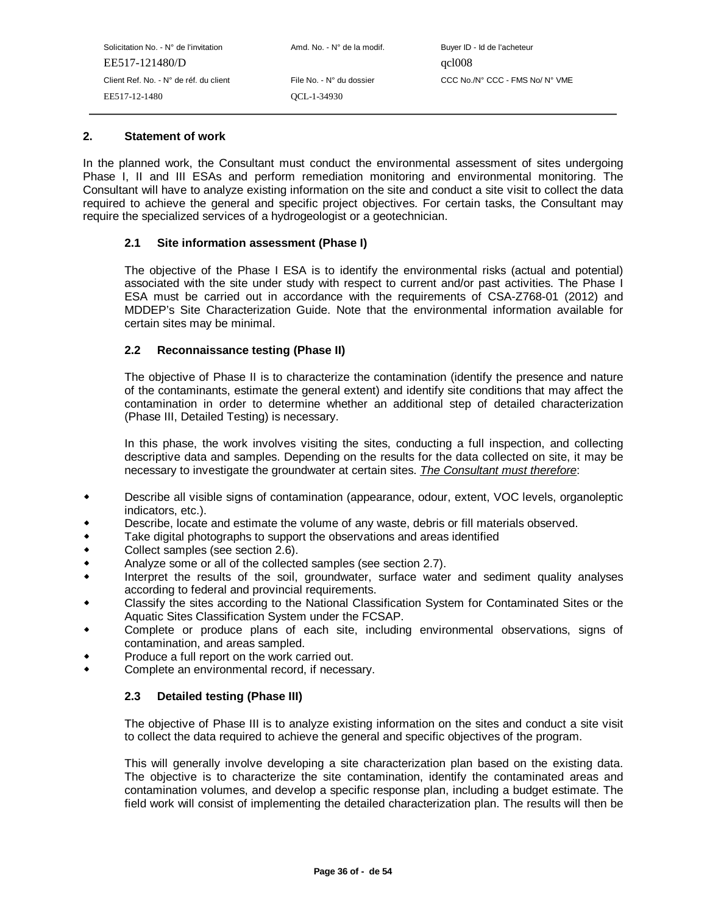#### **2. Statement of work**

In the planned work, the Consultant must conduct the environmental assessment of sites undergoing Phase I, II and III ESAs and perform remediation monitoring and environmental monitoring. The Consultant will have to analyze existing information on the site and conduct a site visit to collect the data required to achieve the general and specific project objectives. For certain tasks, the Consultant may require the specialized services of a hydrogeologist or a geotechnician.

## **2.1 Site information assessment (Phase I)**

The objective of the Phase I ESA is to identify the environmental risks (actual and potential) associated with the site under study with respect to current and/or past activities. The Phase I ESA must be carried out in accordance with the requirements of CSA-Z768-01 (2012) and MDDEP's Site Characterization Guide. Note that the environmental information available for certain sites may be minimal.

## **2.2 Reconnaissance testing (Phase II)**

The objective of Phase II is to characterize the contamination (identify the presence and nature of the contaminants, estimate the general extent) and identify site conditions that may affect the contamination in order to determine whether an additional step of detailed characterization (Phase III, Detailed Testing) is necessary.

In this phase, the work involves visiting the sites, conducting a full inspection, and collecting descriptive data and samples. Depending on the results for the data collected on site, it may be necessary to investigate the groundwater at certain sites. The Consultant must therefore:

- Describe all visible signs of contamination (appearance, odour, extent, VOC levels, organoleptic indicators, etc.).
- Describe, locate and estimate the volume of any waste, debris or fill materials observed.
- $\ddot{\bullet}$ Take digital photographs to support the observations and areas identified
- $\ddot{\bullet}$ Collect samples (see section 2.6).
- $\ddot{\bullet}$ Analyze some or all of the collected samples (see section 2.7).
- $\bullet$  Interpret the results of the soil, groundwater, surface water and sediment quality analyses according to federal and provincial requirements.
- Classify the sites according to the National Classification System for Contaminated Sites or the Aquatic Sites Classification System under the FCSAP.
- Complete or produce plans of each site, including environmental observations, signs of contamination, and areas sampled.
- Produce a full report on the work carried out.
- $\bullet$ Complete an environmental record, if necessary.

#### **2.3 Detailed testing (Phase III)**

The objective of Phase III is to analyze existing information on the sites and conduct a site visit to collect the data required to achieve the general and specific objectives of the program.

This will generally involve developing a site characterization plan based on the existing data. The objective is to characterize the site contamination, identify the contaminated areas and contamination volumes, and develop a specific response plan, including a budget estimate. The field work will consist of implementing the detailed characterization plan. The results will then be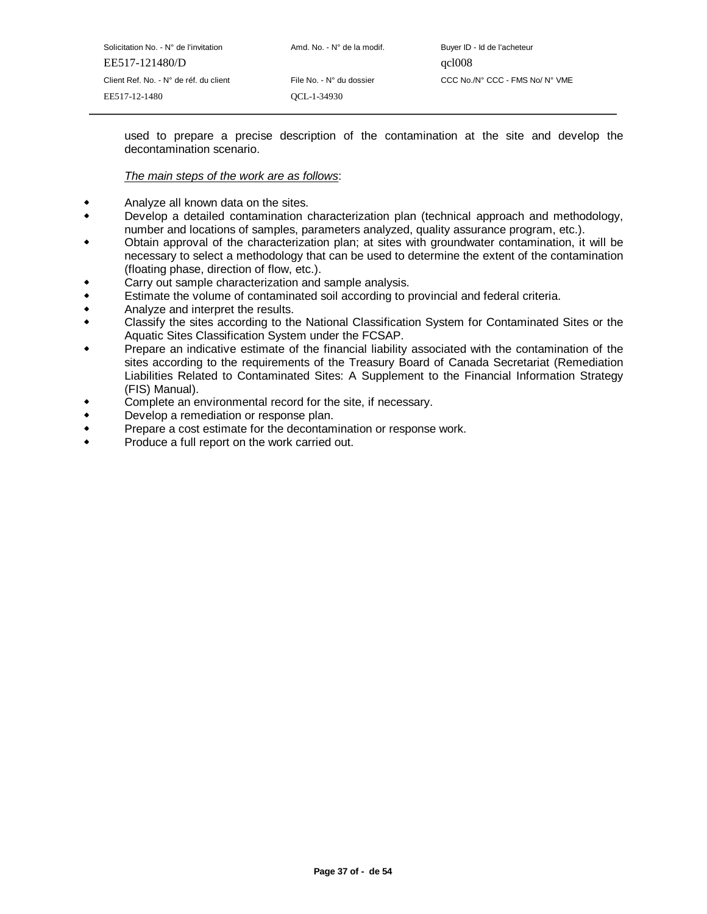| Solicitation No. - N° de l'invitation  | Amd. No. - N° de la modif. | Buyer ID - Id de l'acheteur     |
|----------------------------------------|----------------------------|---------------------------------|
| EE517-121480/D                         |                            | qcl008                          |
| Client Ref. No. - N° de réf. du client | File No. - N° du dossier   | CCC No./N° CCC - FMS No/ N° VME |
| EE517-12-1480                          | OCL-1-34930                |                                 |
|                                        |                            |                                 |

used to prepare a precise description of the contamination at the site and develop the decontamination scenario.

#### The main steps of the work are as follows:

- Analyze all known data on the sites.
- $\ddot{\phantom{0}}$  Develop a detailed contamination characterization plan (technical approach and methodology, number and locations of samples, parameters analyzed, quality assurance program, etc.).
- Obtain approval of the characterization plan; at sites with groundwater contamination, it will be necessary to select a methodology that can be used to determine the extent of the contamination (floating phase, direction of flow, etc.).
- Carry out sample characterization and sample analysis.
- $\bullet$ Estimate the volume of contaminated soil according to provincial and federal criteria.
- $\ddot{\bullet}$ Analyze and interpret the results.
- $\ddot{\phantom{0}}$  Classify the sites according to the National Classification System for Contaminated Sites or the Aquatic Sites Classification System under the FCSAP.
- Prepare an indicative estimate of the financial liability associated with the contamination of the sites according to the requirements of the Treasury Board of Canada Secretariat (Remediation Liabilities Related to Contaminated Sites: A Supplement to the Financial Information Strategy (FIS) Manual).
- Complete an environmental record for the site, if necessary.
- $\ddot{\bullet}$ Develop a remediation or response plan.
- $\ddot{\bullet}$ Prepare a cost estimate for the decontamination or response work.
- $\bullet$ Produce a full report on the work carried out.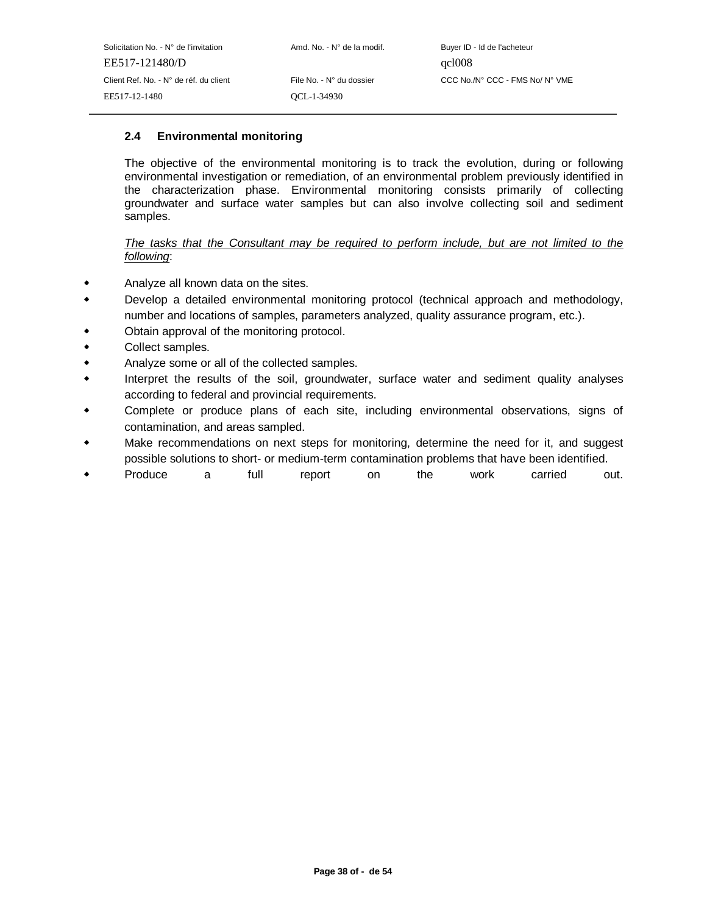# **2.4 Environmental monitoring**

The objective of the environmental monitoring is to track the evolution, during or following environmental investigation or remediation, of an environmental problem previously identified in the characterization phase. Environmental monitoring consists primarily of collecting groundwater and surface water samples but can also involve collecting soil and sediment samples.

## The tasks that the Consultant may be required to perform include, but are not limited to the following:

- Analyze all known data on the sites.
- $\ddot{\bullet}$  Develop a detailed environmental monitoring protocol (technical approach and methodology, number and locations of samples, parameters analyzed, quality assurance program, etc.).
- Obtain approval of the monitoring protocol.
- $\ddot{\bullet}$ Collect samples.
- $\ddot{\bullet}$ Analyze some or all of the collected samples.
- $\ddot{\bullet}$  Interpret the results of the soil, groundwater, surface water and sediment quality analyses according to federal and provincial requirements.
- Complete or produce plans of each site, including environmental observations, signs of contamination, and areas sampled.
- Make recommendations on next steps for monitoring, determine the need for it, and suggest possible solutions to short- or medium-term contamination problems that have been identified.
- Produce a full report on the work carried out.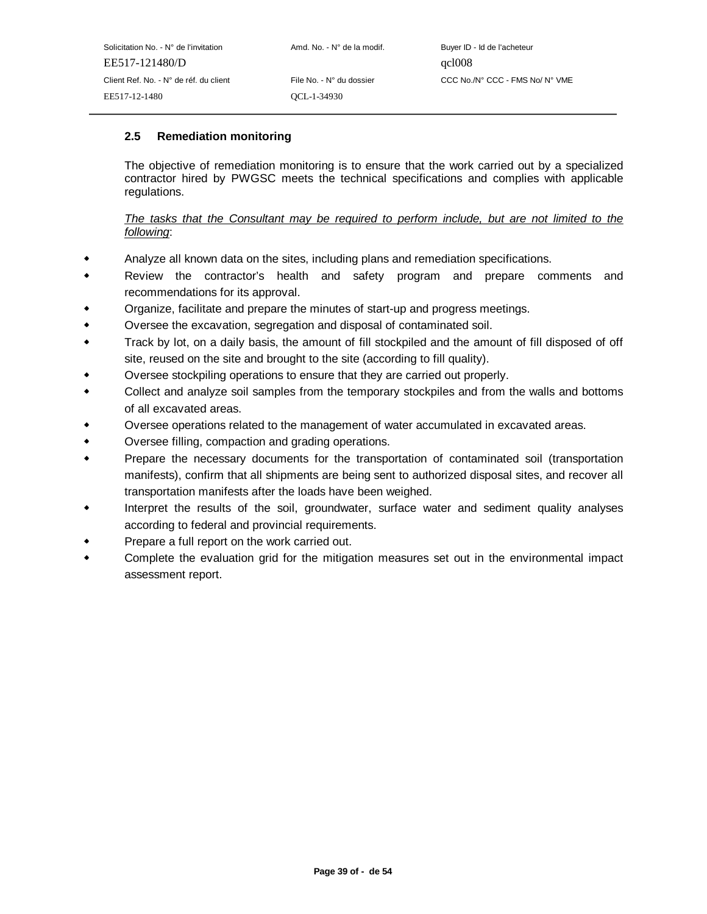## **2.5 Remediation monitoring**

The objective of remediation monitoring is to ensure that the work carried out by a specialized contractor hired by PWGSC meets the technical specifications and complies with applicable regulations.

## The tasks that the Consultant may be required to perform include, but are not limited to the following:

- Analyze all known data on the sites, including plans and remediation specifications.  $\bullet$
- $\ddot{\phantom{0}}$  Review the contractor's health and safety program and prepare comments and recommendations for its approval.
- Organize, facilitate and prepare the minutes of start-up and progress meetings.
- $\bullet$ Oversee the excavation, segregation and disposal of contaminated soil.
- $\ddot{\phantom{0}}$  Track by lot, on a daily basis, the amount of fill stockpiled and the amount of fill disposed of off site, reused on the site and brought to the site (according to fill quality).
- Oversee stockpiling operations to ensure that they are carried out properly.
- $\bullet$  Collect and analyze soil samples from the temporary stockpiles and from the walls and bottoms of all excavated areas.
- Oversee operations related to the management of water accumulated in excavated areas.
- $\bullet$ Oversee filling, compaction and grading operations.
- - Prepare the necessary documents for the transportation of contaminated soil (transportation manifests), confirm that all shipments are being sent to authorized disposal sites, and recover all transportation manifests after the loads have been weighed.
- Interpret the results of the soil, groundwater, surface water and sediment quality analyses according to federal and provincial requirements.
- Prepare a full report on the work carried out.
- $\ddot{\bullet}$  Complete the evaluation grid for the mitigation measures set out in the environmental impact assessment report.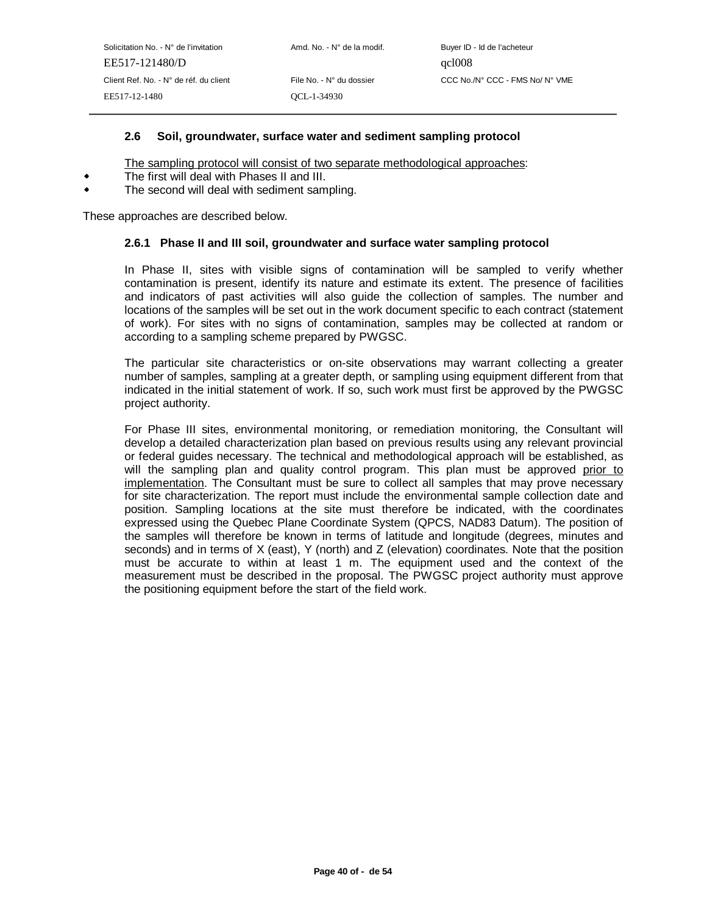## **2.6 Soil, groundwater, surface water and sediment sampling protocol**

The sampling protocol will consist of two separate methodological approaches:

- The first will deal with Phases II and III.
- $\bullet$ The second will deal with sediment sampling.

These approaches are described below.

#### **2.6.1 Phase II and III soil, groundwater and surface water sampling protocol**

In Phase II, sites with visible signs of contamination will be sampled to verify whether contamination is present, identify its nature and estimate its extent. The presence of facilities and indicators of past activities will also guide the collection of samples. The number and locations of the samples will be set out in the work document specific to each contract (statement of work). For sites with no signs of contamination, samples may be collected at random or according to a sampling scheme prepared by PWGSC.

The particular site characteristics or on-site observations may warrant collecting a greater number of samples, sampling at a greater depth, or sampling using equipment different from that indicated in the initial statement of work. If so, such work must first be approved by the PWGSC project authority.

For Phase III sites, environmental monitoring, or remediation monitoring, the Consultant will develop a detailed characterization plan based on previous results using any relevant provincial or federal guides necessary. The technical and methodological approach will be established, as will the sampling plan and quality control program. This plan must be approved prior to implementation. The Consultant must be sure to collect all samples that may prove necessary for site characterization. The report must include the environmental sample collection date and position. Sampling locations at the site must therefore be indicated, with the coordinates expressed using the Quebec Plane Coordinate System (QPCS, NAD83 Datum). The position of the samples will therefore be known in terms of latitude and longitude (degrees, minutes and seconds) and in terms of X (east), Y (north) and Z (elevation) coordinates. Note that the position must be accurate to within at least 1 m. The equipment used and the context of the measurement must be described in the proposal. The PWGSC project authority must approve the positioning equipment before the start of the field work.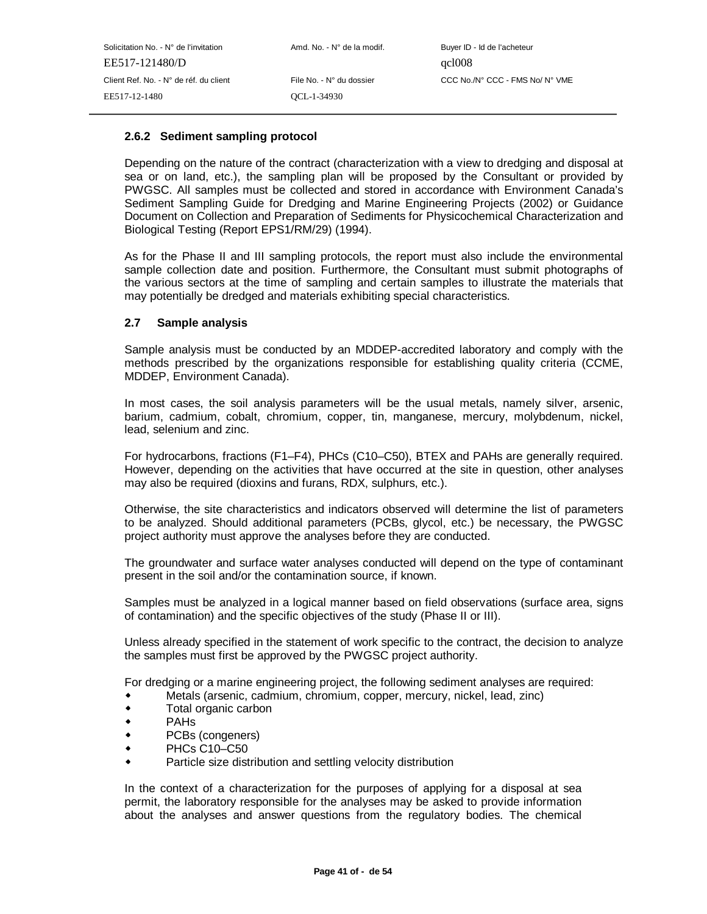#### **2.6.2 Sediment sampling protocol**

Depending on the nature of the contract (characterization with a view to dredging and disposal at sea or on land, etc.), the sampling plan will be proposed by the Consultant or provided by PWGSC. All samples must be collected and stored in accordance with Environment Canada's Sediment Sampling Guide for Dredging and Marine Engineering Projects (2002) or Guidance Document on Collection and Preparation of Sediments for Physicochemical Characterization and Biological Testing (Report EPS1/RM/29) (1994).

As for the Phase II and III sampling protocols, the report must also include the environmental sample collection date and position. Furthermore, the Consultant must submit photographs of the various sectors at the time of sampling and certain samples to illustrate the materials that may potentially be dredged and materials exhibiting special characteristics.

#### **2.7 Sample analysis**

Sample analysis must be conducted by an MDDEP-accredited laboratory and comply with the methods prescribed by the organizations responsible for establishing quality criteria (CCME, MDDEP, Environment Canada).

In most cases, the soil analysis parameters will be the usual metals, namely silver, arsenic, barium, cadmium, cobalt, chromium, copper, tin, manganese, mercury, molybdenum, nickel, lead, selenium and zinc.

For hydrocarbons, fractions (F1–F4), PHCs (C10–C50), BTEX and PAHs are generally required. However, depending on the activities that have occurred at the site in question, other analyses may also be required (dioxins and furans, RDX, sulphurs, etc.).

Otherwise, the site characteristics and indicators observed will determine the list of parameters to be analyzed. Should additional parameters (PCBs, glycol, etc.) be necessary, the PWGSC project authority must approve the analyses before they are conducted.

The groundwater and surface water analyses conducted will depend on the type of contaminant present in the soil and/or the contamination source, if known.

Samples must be analyzed in a logical manner based on field observations (surface area, signs of contamination) and the specific objectives of the study (Phase II or III).

Unless already specified in the statement of work specific to the contract, the decision to analyze the samples must first be approved by the PWGSC project authority.

For dredging or a marine engineering project, the following sediment analyses are required:

- Metals (arsenic, cadmium, chromium, copper, mercury, nickel, lead, zinc)
- $\bullet$ Total organic carbon
- $\bullet$ PAHs
- $\ddot{\phantom{0}}$ PCBs (congeners)
- $\ddot{\phantom{0}}$ PHCs C10–C50
- $\bullet$ Particle size distribution and settling velocity distribution

In the context of a characterization for the purposes of applying for a disposal at sea permit, the laboratory responsible for the analyses may be asked to provide information about the analyses and answer questions from the regulatory bodies. The chemical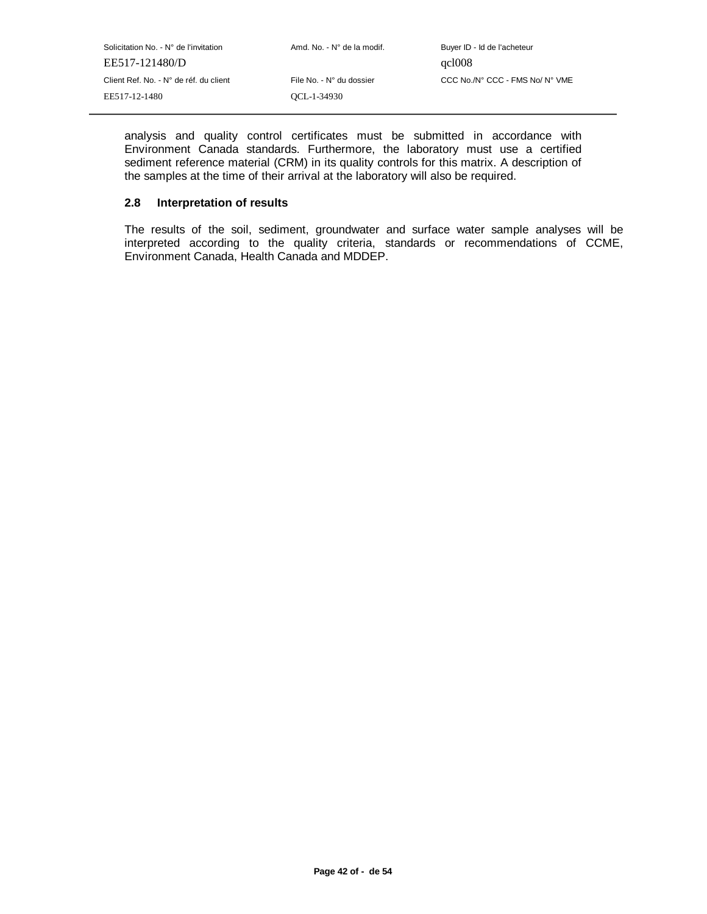| Solicitation No. - N° de l'invitation  | Amd. No. - N° de la modif. | Buyer ID - Id de l'acheteur     |
|----------------------------------------|----------------------------|---------------------------------|
| EE517-121480/D                         |                            | qcl008                          |
| Client Ref. No. - N° de réf. du client | File No. - N° du dossier   | CCC No./N° CCC - FMS No/ N° VME |
| EE517-12-1480                          | OCL-1-34930                |                                 |
|                                        |                            |                                 |

analysis and quality control certificates must be submitted in accordance with Environment Canada standards. Furthermore, the laboratory must use a certified sediment reference material (CRM) in its quality controls for this matrix. A description of the samples at the time of their arrival at the laboratory will also be required.

## **2.8 Interpretation of results**

The results of the soil, sediment, groundwater and surface water sample analyses will be interpreted according to the quality criteria, standards or recommendations of CCME, Environment Canada, Health Canada and MDDEP.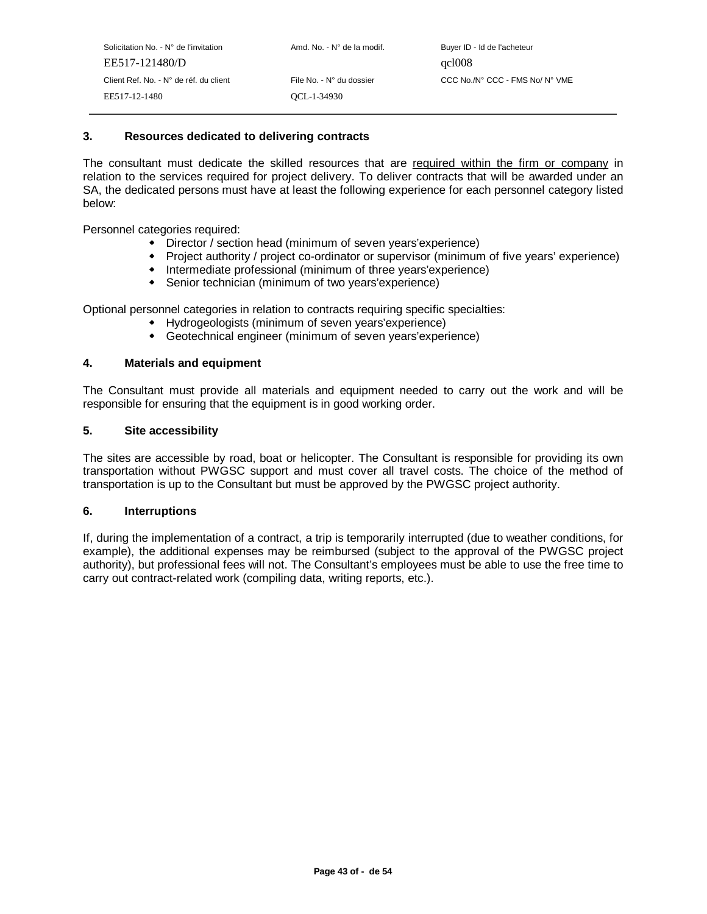#### **3. Resources dedicated to delivering contracts**

The consultant must dedicate the skilled resources that are required within the firm or company in relation to the services required for project delivery. To deliver contracts that will be awarded under an SA, the dedicated persons must have at least the following experience for each personnel category listed below:

Personnel categories required:

- Director / section head (minimum of seven years'experience)
- Project authority / project co-ordinator or supervisor (minimum of five years' experience)
- Intermediate professional (minimum of three years'experience)
- Senior technician (minimum of two years'experience)

Optional personnel categories in relation to contracts requiring specific specialties:

- Hydrogeologists (minimum of seven years'experience)
- Geotechnical engineer (minimum of seven years'experience)

#### **4. Materials and equipment**

The Consultant must provide all materials and equipment needed to carry out the work and will be responsible for ensuring that the equipment is in good working order.

#### **5. Site accessibility**

The sites are accessible by road, boat or helicopter. The Consultant is responsible for providing its own transportation without PWGSC support and must cover all travel costs. The choice of the method of transportation is up to the Consultant but must be approved by the PWGSC project authority.

#### **6. Interruptions**

If, during the implementation of a contract, a trip is temporarily interrupted (due to weather conditions, for example), the additional expenses may be reimbursed (subject to the approval of the PWGSC project authority), but professional fees will not. The Consultant's employees must be able to use the free time to carry out contract-related work (compiling data, writing reports, etc.).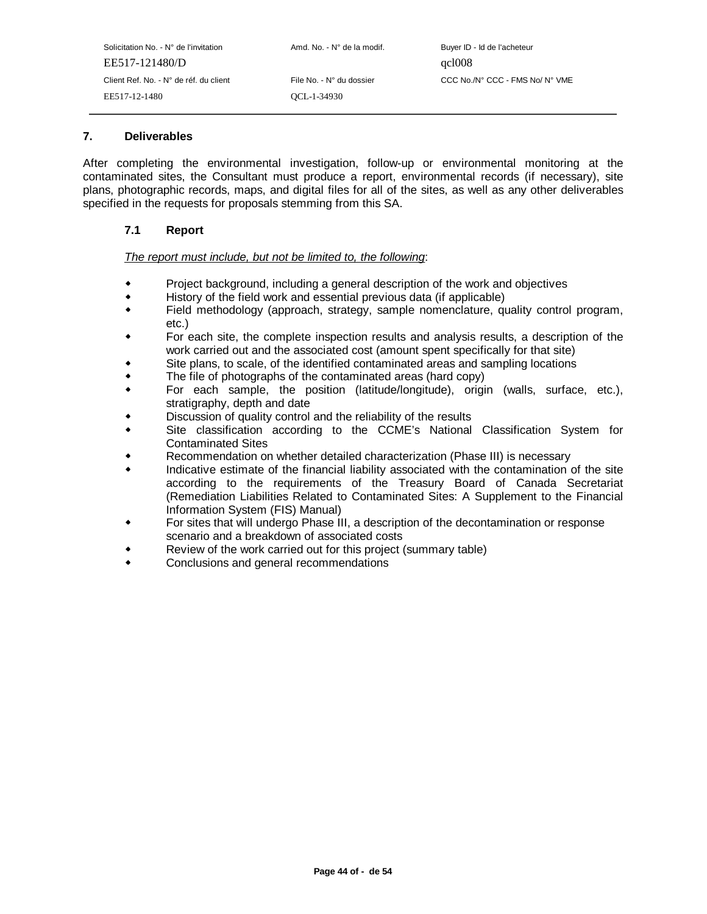| Solicitation No. - N° de l'invitation  | Amd. No. - N° de la modif. | Buyer ID - Id de l'acheteur     |
|----------------------------------------|----------------------------|---------------------------------|
| EE517-121480/D                         |                            | qcl008                          |
| Client Ref. No. - N° de réf. du client | File No. - N° du dossier   | CCC No./N° CCC - FMS No/ N° VME |
| EE517-12-1480                          | OCL-1-34930                |                                 |

# **7. Deliverables**

After completing the environmental investigation, follow-up or environmental monitoring at the contaminated sites, the Consultant must produce a report, environmental records (if necessary), site plans, photographic records, maps, and digital files for all of the sites, as well as any other deliverables specified in the requests for proposals stemming from this SA.

## **7.1 Report**

#### The report must include, but not be limited to, the following:

- Project background, including a general description of the work and objectives
- $\ddot{\phantom{0}}$ History of the field work and essential previous data (if applicable)
- $\bullet$  Field methodology (approach, strategy, sample nomenclature, quality control program, etc.)
- For each site, the complete inspection results and analysis results, a description of the work carried out and the associated cost (amount spent specifically for that site)
- Site plans, to scale, of the identified contaminated areas and sampling locations
- $\bullet$ The file of photographs of the contaminated areas (hard copy)
- $\ddot{\phantom{0}}$  For each sample, the position (latitude/longitude), origin (walls, surface, etc.), stratigraphy, depth and date
- Discussion of quality control and the reliability of the results
- $\ddot{\phantom{0}}$  Site classification according to the CCME's National Classification System for Contaminated Sites
- Recommendation on whether detailed characterization (Phase III) is necessary
- $\bullet$  Indicative estimate of the financial liability associated with the contamination of the site according to the requirements of the Treasury Board of Canada Secretariat (Remediation Liabilities Related to Contaminated Sites: A Supplement to the Financial Information System (FIS) Manual)
- For sites that will undergo Phase III, a description of the decontamination or response scenario and a breakdown of associated costs
- Review of the work carried out for this project (summary table)
- $\bullet$ Conclusions and general recommendations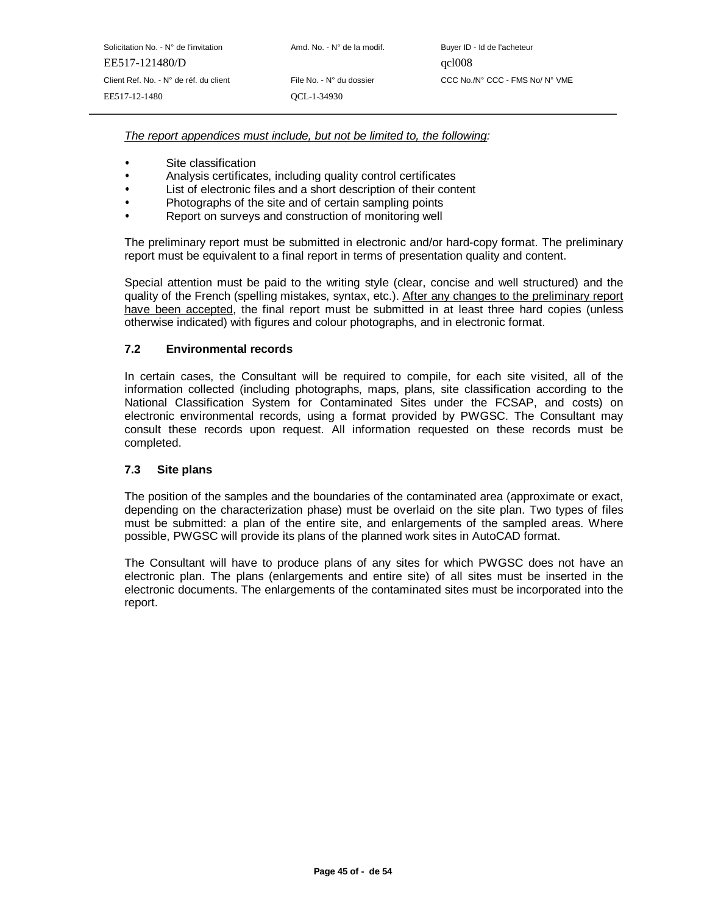| Solicitation No. - N° de l'invitation  | Amd. No. - N° de la modif. | Buyer ID - Id de l'acheteur |
|----------------------------------------|----------------------------|-----------------------------|
| EE517-121480/D                         |                            | qcl008                      |
| Client Ref. No. - N° de réf. du client | File No. - N° du dossier   | CCC No./N° CCC - FMS N      |
| EE517-12-1480                          | OCL-1-34930                |                             |
|                                        |                            |                             |

FMS No/ N° VME

The report appendices must include, but not be limited to, the following:

- 
- Site classification<br>Analysis certificates, including quality control certificates
- List of electronic files and a short description of their content
- Photographs of the site and of certain sampling points
- Photographs of the site and of certain sampling points<br>• Report on surveys and construction of monitoring well Report on surveys and construction of monitoring well

The preliminary report must be submitted in electronic and/or hard-copy format. The preliminary report must be equivalent to a final report in terms of presentation quality and content.

Special attention must be paid to the writing style (clear, concise and well structured) and the quality of the French (spelling mistakes, syntax, etc.). After any changes to the preliminary report have been accepted, the final report must be submitted in at least three hard copies (unless otherwise indicated) with figures and colour photographs, and in electronic format.

## **7.2 Environmental records**

In certain cases, the Consultant will be required to compile, for each site visited, all of the information collected (including photographs, maps, plans, site classification according to the National Classification System for Contaminated Sites under the FCSAP, and costs) on electronic environmental records, using a format provided by PWGSC. The Consultant may consult these records upon request. All information requested on these records must be completed.

#### **7.3 Site plans**

The position of the samples and the boundaries of the contaminated area (approximate or exact, depending on the characterization phase) must be overlaid on the site plan. Two types of files must be submitted: a plan of the entire site, and enlargements of the sampled areas. Where possible, PWGSC will provide its plans of the planned work sites in AutoCAD format.

The Consultant will have to produce plans of any sites for which PWGSC does not have an electronic plan. The plans (enlargements and entire site) of all sites must be inserted in the electronic documents. The enlargements of the contaminated sites must be incorporated into the report.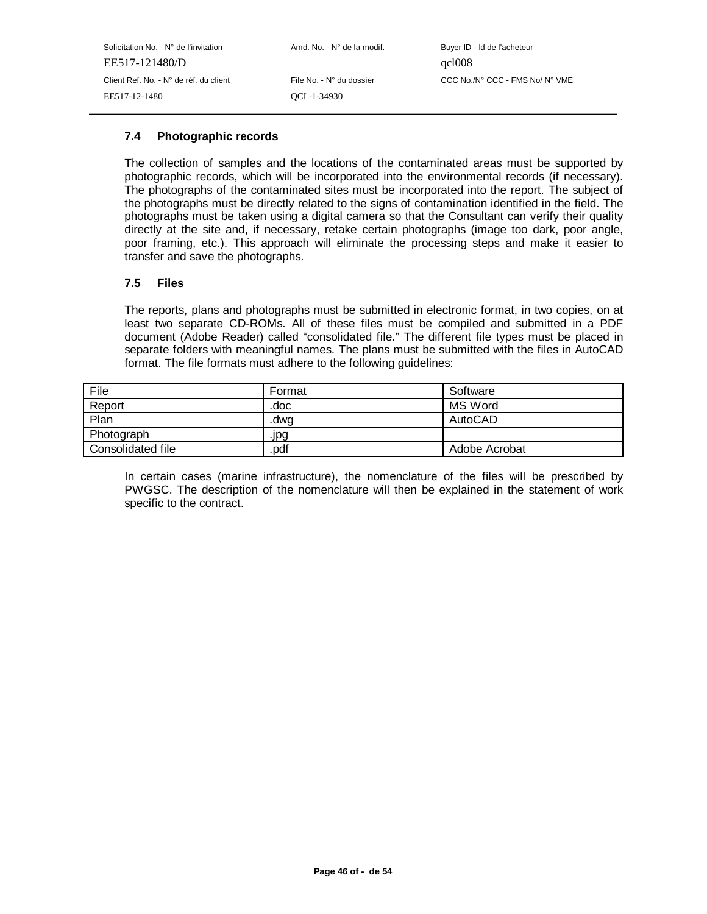## **7.4 Photographic records**

The collection of samples and the locations of the contaminated areas must be supported by photographic records, which will be incorporated into the environmental records (if necessary). The photographs of the contaminated sites must be incorporated into the report. The subject of the photographs must be directly related to the signs of contamination identified in the field. The photographs must be taken using a digital camera so that the Consultant can verify their quality directly at the site and, if necessary, retake certain photographs (image too dark, poor angle, poor framing, etc.). This approach will eliminate the processing steps and make it easier to transfer and save the photographs.

#### **7.5 Files**

The reports, plans and photographs must be submitted in electronic format, in two copies, on at least two separate CD-ROMs. All of these files must be compiled and submitted in a PDF document (Adobe Reader) called "consolidated file." The different file types must be placed in separate folders with meaningful names. The plans must be submitted with the files in AutoCAD format. The file formats must adhere to the following guidelines:

| File              | Format | Software      |
|-------------------|--------|---------------|
| Report            | .doc   | MS Word       |
| Plan              | .dwq   | AutoCAD       |
| Photograph        | .jpg   |               |
| Consolidated file | pdf    | Adobe Acrobat |

In certain cases (marine infrastructure), the nomenclature of the files will be prescribed by PWGSC. The description of the nomenclature will then be explained in the statement of work specific to the contract.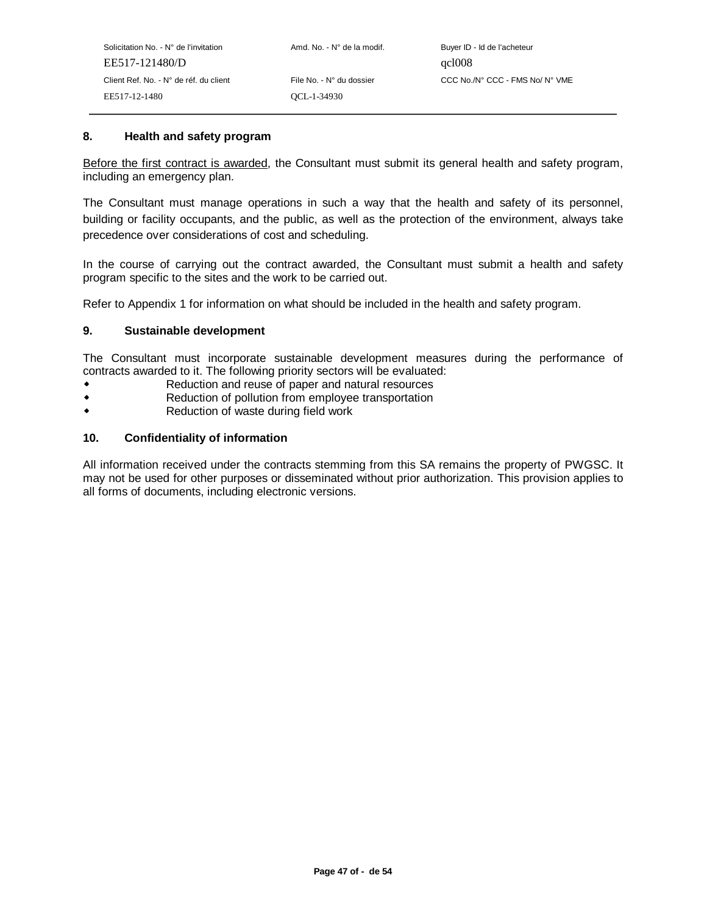#### **8. Health and safety program**

Before the first contract is awarded, the Consultant must submit its general health and safety program, including an emergency plan.

The Consultant must manage operations in such a way that the health and safety of its personnel, building or facility occupants, and the public, as well as the protection of the environment, always take precedence over considerations of cost and scheduling.

In the course of carrying out the contract awarded, the Consultant must submit a health and safety program specific to the sites and the work to be carried out.

Refer to Appendix 1 for information on what should be included in the health and safety program.

#### **9. Sustainable development**

The Consultant must incorporate sustainable development measures during the performance of contracts awarded to it. The following priority sectors will be evaluated:

- Reduction and reuse of paper and natural resources  $\bullet$
- $\ddot{\bullet}$ Reduction of pollution from employee transportation
- $\ddot{\bullet}$ Reduction of waste during field work

#### **10. Confidentiality of information**

All information received under the contracts stemming from this SA remains the property of PWGSC. It may not be used for other purposes or disseminated without prior authorization. This provision applies to all forms of documents, including electronic versions.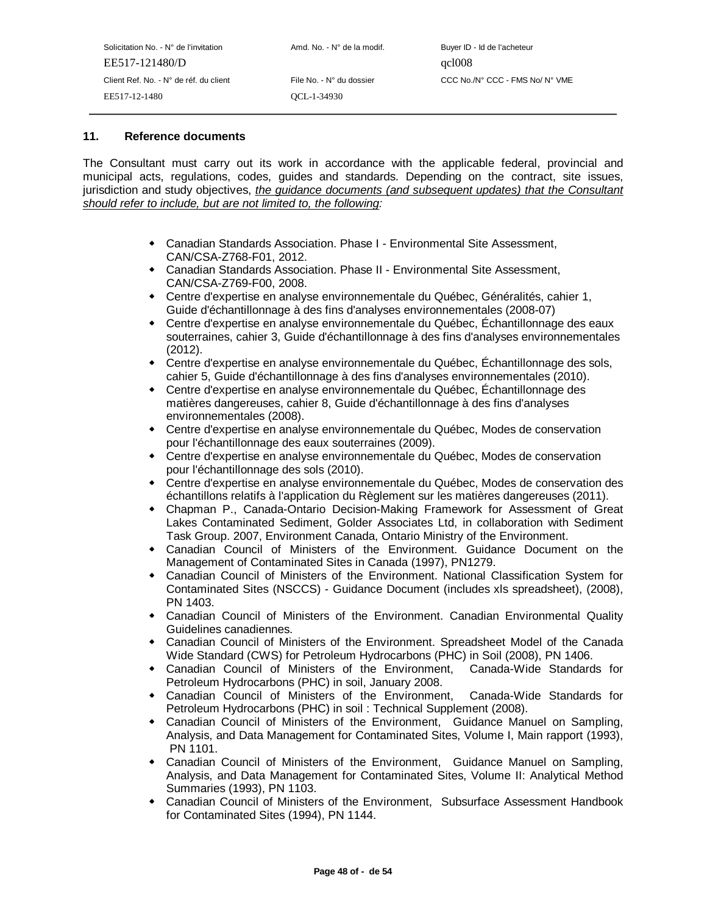| Solicitation No. - N° de l'invitation  | Amd. No. - N° de la modif. | Buyer ID - Id de l'acheteur     |
|----------------------------------------|----------------------------|---------------------------------|
| EE517-121480/D                         |                            | qcl008                          |
| Client Ref. No. - N° de réf. du client | File No. - N° du dossier   | CCC No./N° CCC - FMS No/ N° VME |
| EE517-12-1480                          | OCL-1-34930                |                                 |
|                                        |                            |                                 |

## **11. Reference documents**

The Consultant must carry out its work in accordance with the applicable federal, provincial and municipal acts, regulations, codes, guides and standards. Depending on the contract, site issues, jurisdiction and study objectives, the guidance documents (and subsequent updates) that the Consultant should refer to include, but are not limited to, the following:

- Canadian Standards Association. Phase I Environmental Site Assessment, CAN/CSA-Z768-F01, 2012.
- Canadian Standards Association. Phase II Environmental Site Assessment, CAN/CSA-Z769-F00, 2008.
- Centre d'expertise en analyse environnementale du Québec, Généralités, cahier 1, Guide d'échantillonnage à des fins d'analyses environnementales (2008-07)
- Centre d'expertise en analyse environnementale du Québec, Échantillonnage des eaux souterraines, cahier 3, Guide d'échantillonnage à des fins d'analyses environnementales (2012).
- Centre d'expertise en analyse environnementale du Québec, Échantillonnage des sols, cahier 5, Guide d'échantillonnage à des fins d'analyses environnementales (2010).
- Centre d'expertise en analyse environnementale du Québec, Échantillonnage des matières dangereuses, cahier 8, Guide d'échantillonnage à des fins d'analyses environnementales (2008).
- Centre d'expertise en analyse environnementale du Québec, Modes de conservation pour l'échantillonnage des eaux souterraines (2009).
- Centre d'expertise en analyse environnementale du Québec, Modes de conservation pour l'échantillonnage des sols (2010).
- Centre d'expertise en analyse environnementale du Québec, Modes de conservation des échantillons relatifs à l'application du Règlement sur les matières dangereuses (2011).
- Chapman P., Canada-Ontario Decision-Making Framework for Assessment of Great Lakes Contaminated Sediment, Golder Associates Ltd, in collaboration with Sediment Task Group. 2007, Environment Canada, Ontario Ministry of the Environment.
- Canadian Council of Ministers of the Environment. Guidance Document on the Management of Contaminated Sites in Canada (1997), PN1279.
- Canadian Council of Ministers of the Environment. National Classification System for Contaminated Sites (NSCCS) - Guidance Document (includes xls spreadsheet), (2008), PN 1403.
- Canadian Council of Ministers of the Environment. Canadian Environmental Quality Guidelines canadiennes.
- Canadian Council of Ministers of the Environment. Spreadsheet Model of the Canada Wide Standard (CWS) for Petroleum Hydrocarbons (PHC) in Soil (2008), PN 1406.
- Canadian Council of Ministers of the Environment, Canada-Wide Standards for Petroleum Hydrocarbons (PHC) in soil, January 2008.
- Canadian Council of Ministers of the Environment, Canada-Wide Standards for Petroleum Hydrocarbons (PHC) in soil : Technical Supplement (2008).
- Canadian Council of Ministers of the Environment, Guidance Manuel on Sampling, Analysis, and Data Management for Contaminated Sites, Volume I, Main rapport (1993), PN 1101.
- Canadian Council of Ministers of the Environment, Guidance Manuel on Sampling, Analysis, and Data Management for Contaminated Sites, Volume II: Analytical Method Summaries (1993), PN 1103.
- Canadian Council of Ministers of the Environment, Subsurface Assessment Handbook for Contaminated Sites (1994), PN 1144.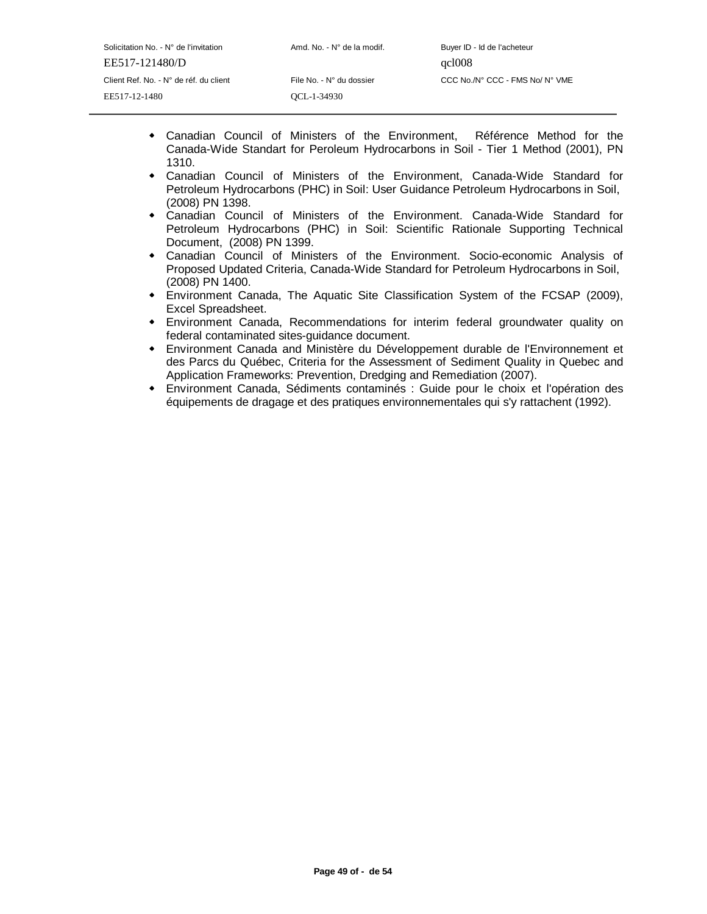- Canadian Council of Ministers of the Environment, Référence Method for the Canada-Wide Standart for Peroleum Hydrocarbons in Soil - Tier 1 Method (2001), PN 1310.
- Canadian Council of Ministers of the Environment, Canada-Wide Standard for Petroleum Hydrocarbons (PHC) in Soil: User Guidance Petroleum Hydrocarbons in Soil, (2008) PN 1398.
- Canadian Council of Ministers of the Environment. Canada-Wide Standard for Petroleum Hydrocarbons (PHC) in Soil: Scientific Rationale Supporting Technical Document, (2008) PN 1399.
- Canadian Council of Ministers of the Environment. Socio-economic Analysis of Proposed Updated Criteria, Canada-Wide Standard for Petroleum Hydrocarbons in Soil, (2008) PN 1400.
- Environment Canada, The Aquatic Site Classification System of the FCSAP (2009), Excel Spreadsheet.
- Environment Canada, Recommendations for interim federal groundwater quality on federal contaminated sites-guidance document.
- Environment Canada and Ministère du Développement durable de l'Environnement et des Parcs du Québec, Criteria for the Assessment of Sediment Quality in Quebec and Application Frameworks: Prevention, Dredging and Remediation (2007).
- Environment Canada, Sédiments contaminés : Guide pour le choix et l'opération des équipements de dragage et des pratiques environnementales qui s'y rattachent (1992).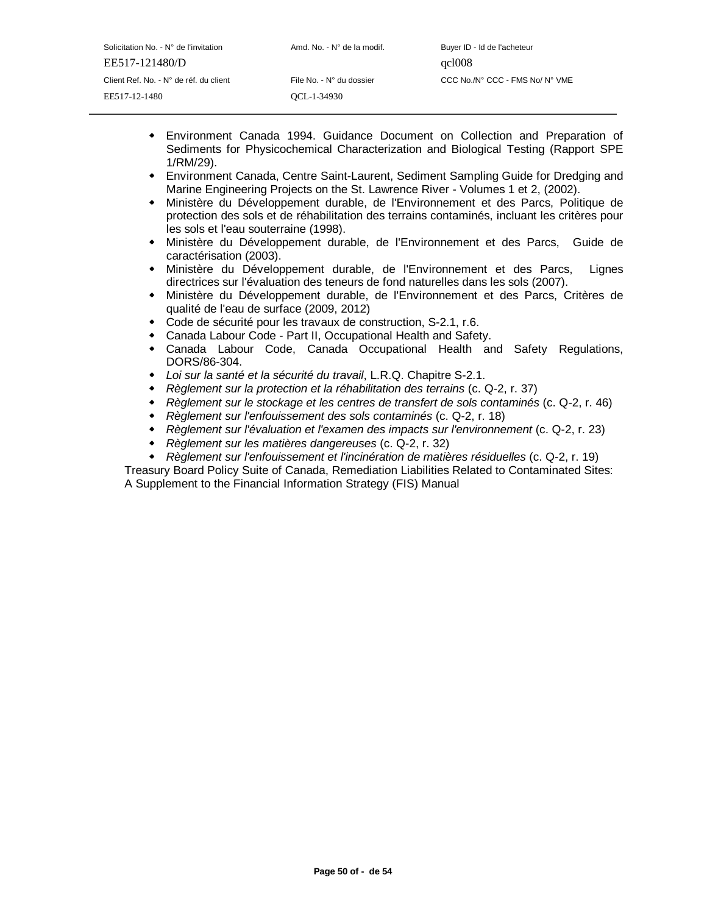- Environment Canada 1994. Guidance Document on Collection and Preparation of Sediments for Physicochemical Characterization and Biological Testing (Rapport SPE 1/RM/29).
- Environment Canada, Centre Saint-Laurent, Sediment Sampling Guide for Dredging and Marine Engineering Projects on the St. Lawrence River - Volumes 1 et 2, (2002).
- Ministère du Développement durable, de l'Environnement et des Parcs, Politique de protection des sols et de réhabilitation des terrains contaminés, incluant les critères pour les sols et l'eau souterraine (1998).
- Ministère du Développement durable, de l'Environnement et des Parcs, Guide de caractérisation (2003).
- Ministère du Développement durable, de l'Environnement et des Parcs, Lignes directrices sur l'évaluation des teneurs de fond naturelles dans les sols (2007).
- Ministère du Développement durable, de l'Environnement et des Parcs, Critères de qualité de l'eau de surface (2009, 2012)
- Code de sécurité pour les travaux de construction, S-2.1, r.6.
- $\ddot{\phantom{0}}$ Canada Labour Code - Part II, Occupational Health and Safety.
- $\bullet$  Canada Labour Code, Canada Occupational Health and Safety Regulations, DORS/86-304.
- Loi sur la santé et la sécurité du travail, L.R.Q. Chapitre S-2.1.
- Règlement sur la protection et la réhabilitation des terrains (c. Q-2, r. 37)
- $\ddot{\phantom{0}}$ Règlement sur le stockage et les centres de transfert de sols contaminés (c. Q-2, r. 46)
- Règlement sur l'enfouissement des sols contaminés (c. Q-2, r. 18)
- $\bullet$ Règlement sur l'évaluation et l'examen des impacts sur l'environnement (c. Q-2, r. 23)
- $\ddot{\phantom{0}}$ Règlement sur les matières dangereuses (c. Q-2, r. 32)
- $\ddot{\phantom{0}}$ Règlement sur l'enfouissement et l'incinération de matières résiduelles (c. Q-2, r. 19)

- Treasury Board Policy Suite of Canada, Remediation Liabilities Related to Contaminated Sites: A Supplement to the Financial Information Strategy (FIS) Manual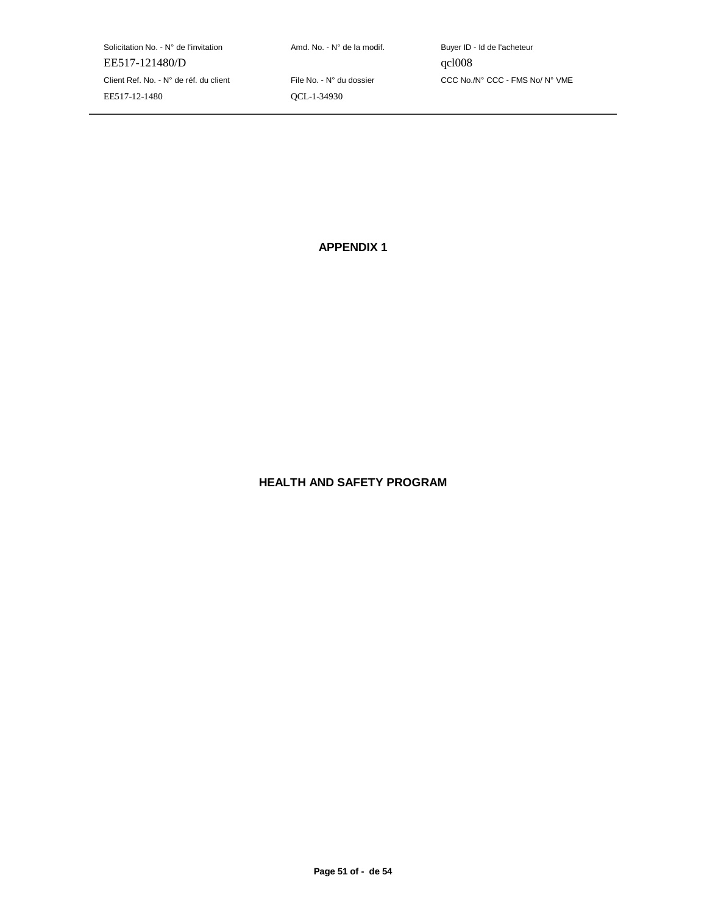Solicitation No. - N° de l'invitation  $A \cap A$ nd. No. - N° de la modif. Buyer ID - Id de l'acheteur EE517-121480/D qcl008 Client Ref. No. - N° de réf. du client File No. - N° du dossier CCC No./N° CCC - FMS No/ N° VME EE517-12-1480 QCL-1-34930

**APPENDIX 1**

# **HEALTH AND SAFETY PROGRAM**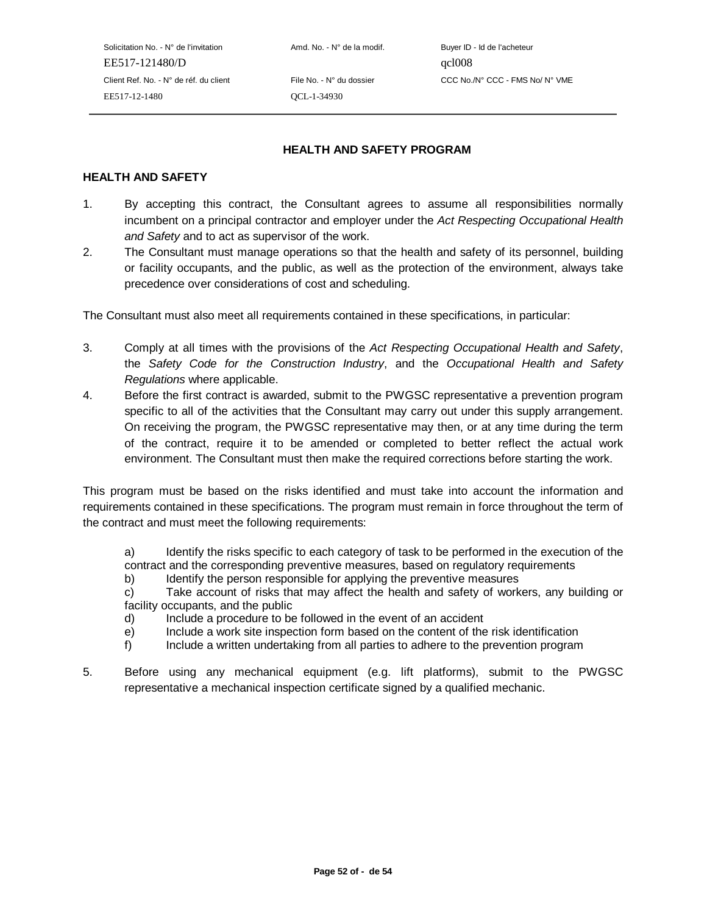Solicitation No. - N° de l'invitation Amd. No. - N° de la modif. Buyer ID - Id de l'acheteur EE517-121480/D qcl008 EE517-12-1480 QCL-1-34930

Client Ref. No. - N° de réf. du client File No. - N° du dossier CCC No./N° CCC - FMS No/ N° VME

## **HEALTH AND SAFETY PROGRAM**

#### **HEALTH AND SAFETY**

- 1. By accepting this contract, the Consultant agrees to assume all responsibilities normally incumbent on a principal contractor and employer under the Act Respecting Occupational Health and Safety and to act as supervisor of the work.
- 2. The Consultant must manage operations so that the health and safety of its personnel, building or facility occupants, and the public, as well as the protection of the environment, always take precedence over considerations of cost and scheduling.

The Consultant must also meet all requirements contained in these specifications, in particular:

- 3. Comply at all times with the provisions of the Act Respecting Occupational Health and Safety, the Safety Code for the Construction Industry, and the Occupational Health and Safety Regulations where applicable.
- 4. Before the first contract is awarded, submit to the PWGSC representative a prevention program specific to all of the activities that the Consultant may carry out under this supply arrangement. On receiving the program, the PWGSC representative may then, or at any time during the term of the contract, require it to be amended or completed to better reflect the actual work environment. The Consultant must then make the required corrections before starting the work.

This program must be based on the risks identified and must take into account the information and requirements contained in these specifications. The program must remain in force throughout the term of the contract and must meet the following requirements:

a) Identify the risks specific to each category of task to be performed in the execution of the contract and the corresponding preventive measures, based on regulatory requirements

b) Identify the person responsible for applying the preventive measures

c) Take account of risks that may affect the health and safety of workers, any building or facility occupants, and the public

- d) Include a procedure to be followed in the event of an accident
- e) Include a work site inspection form based on the content of the risk identification
- f) Include a written undertaking from all parties to adhere to the prevention program
- 5. Before using any mechanical equipment (e.g. lift platforms), submit to the PWGSC representative a mechanical inspection certificate signed by a qualified mechanic.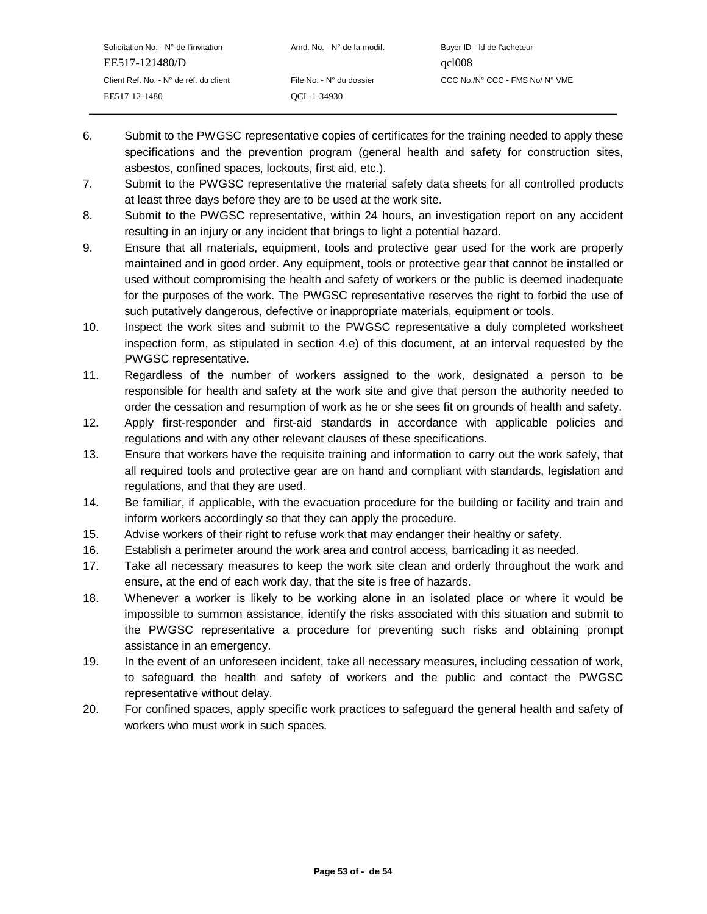- 6. Submit to the PWGSC representative copies of certificates for the training needed to apply these specifications and the prevention program (general health and safety for construction sites, asbestos, confined spaces, lockouts, first aid, etc.).
- 7. Submit to the PWGSC representative the material safety data sheets for all controlled products at least three days before they are to be used at the work site.
- 8. Submit to the PWGSC representative, within 24 hours, an investigation report on any accident resulting in an injury or any incident that brings to light a potential hazard.
- 9. Ensure that all materials, equipment, tools and protective gear used for the work are properly maintained and in good order. Any equipment, tools or protective gear that cannot be installed or used without compromising the health and safety of workers or the public is deemed inadequate for the purposes of the work. The PWGSC representative reserves the right to forbid the use of such putatively dangerous, defective or inappropriate materials, equipment or tools.
- 10. Inspect the work sites and submit to the PWGSC representative a duly completed worksheet inspection form, as stipulated in section 4.e) of this document, at an interval requested by the PWGSC representative.
- 11. Regardless of the number of workers assigned to the work, designated a person to be responsible for health and safety at the work site and give that person the authority needed to order the cessation and resumption of work as he or she sees fit on grounds of health and safety.
- 12. Apply first-responder and first-aid standards in accordance with applicable policies and regulations and with any other relevant clauses of these specifications.
- 13. Ensure that workers have the requisite training and information to carry out the work safely, that all required tools and protective gear are on hand and compliant with standards, legislation and regulations, and that they are used.
- 14. Be familiar, if applicable, with the evacuation procedure for the building or facility and train and inform workers accordingly so that they can apply the procedure.
- 15. Advise workers of their right to refuse work that may endanger their healthy or safety.
- 16. Establish a perimeter around the work area and control access, barricading it as needed.
- 17. Take all necessary measures to keep the work site clean and orderly throughout the work and ensure, at the end of each work day, that the site is free of hazards.
- 18. Whenever a worker is likely to be working alone in an isolated place or where it would be impossible to summon assistance, identify the risks associated with this situation and submit to the PWGSC representative a procedure for preventing such risks and obtaining prompt assistance in an emergency.
- 19. In the event of an unforeseen incident, take all necessary measures, including cessation of work, to safeguard the health and safety of workers and the public and contact the PWGSC representative without delay.
- 20. For confined spaces, apply specific work practices to safeguard the general health and safety of workers who must work in such spaces.